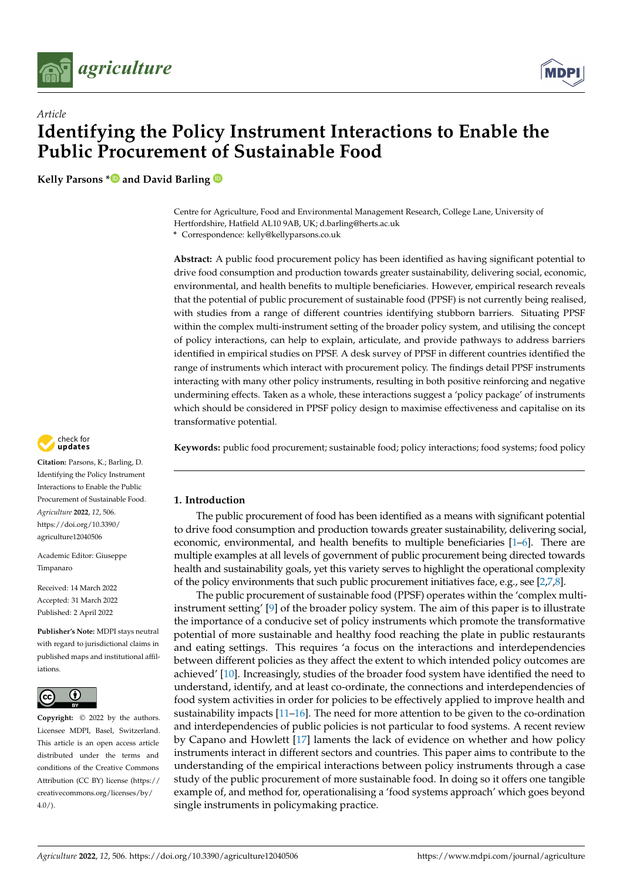



# *Article* **Identifying the Policy Instrument Interactions to Enable the Public Procurement of Sustainable Food**

**Kelly Parsons [\\*](https://orcid.org/0000-0002-6473-210X) and David Barling**

Centre for Agriculture, Food and Environmental Management Research, College Lane, University of Hertfordshire, Hatfield AL10 9AB, UK; d.barling@herts.ac.uk **\*** Correspondence: kelly@kellyparsons.co.uk

**Abstract:** A public food procurement policy has been identified as having significant potential to drive food consumption and production towards greater sustainability, delivering social, economic, environmental, and health benefits to multiple beneficiaries. However, empirical research reveals that the potential of public procurement of sustainable food (PPSF) is not currently being realised, with studies from a range of different countries identifying stubborn barriers. Situating PPSF within the complex multi-instrument setting of the broader policy system, and utilising the concept of policy interactions, can help to explain, articulate, and provide pathways to address barriers identified in empirical studies on PPSF. A desk survey of PPSF in different countries identified the range of instruments which interact with procurement policy. The findings detail PPSF instruments interacting with many other policy instruments, resulting in both positive reinforcing and negative undermining effects. Taken as a whole, these interactions suggest a 'policy package' of instruments which should be considered in PPSF policy design to maximise effectiveness and capitalise on its transformative potential.

**Keywords:** public food procurement; sustainable food; policy interactions; food systems; food policy

# **1. Introduction**

The public procurement of food has been identified as a means with significant potential to drive food consumption and production towards greater sustainability, delivering social, economic, environmental, and health benefits to multiple beneficiaries [\[1](#page-18-0)[–6\]](#page-18-1). There are multiple examples at all levels of government of public procurement being directed towards health and sustainability goals, yet this variety serves to highlight the operational complexity of the policy environments that such public procurement initiatives face, e.g., see [\[2](#page-18-2)[,7,](#page-18-3)[8\]](#page-18-4).

The public procurement of sustainable food (PPSF) operates within the 'complex multiinstrument setting' [\[9\]](#page-18-5) of the broader policy system. The aim of this paper is to illustrate the importance of a conducive set of policy instruments which promote the transformative potential of more sustainable and healthy food reaching the plate in public restaurants and eating settings. This requires 'a focus on the interactions and interdependencies between different policies as they affect the extent to which intended policy outcomes are achieved' [\[10\]](#page-18-6). Increasingly, studies of the broader food system have identified the need to understand, identify, and at least co-ordinate, the connections and interdependencies of food system activities in order for policies to be effectively applied to improve health and sustainability impacts  $[11-16]$  $[11-16]$ . The need for more attention to be given to the co-ordination and interdependencies of public policies is not particular to food systems. A recent review by Capano and Howlett [\[17\]](#page-18-9) laments the lack of evidence on whether and how policy instruments interact in different sectors and countries. This paper aims to contribute to the understanding of the empirical interactions between policy instruments through a case study of the public procurement of more sustainable food. In doing so it offers one tangible example of, and method for, operationalising a 'food systems approach' which goes beyond single instruments in policymaking practice.



**Citation:** Parsons, K.; Barling, D. Identifying the Policy Instrument Interactions to Enable the Public Procurement of Sustainable Food. *Agriculture* **2022**, *12*, 506. [https://doi.org/10.3390/](https://doi.org/10.3390/agriculture12040506) [agriculture12040506](https://doi.org/10.3390/agriculture12040506)

Academic Editor: Giuseppe Timpanaro

Received: 14 March 2022 Accepted: 31 March 2022 Published: 2 April 2022

**Publisher's Note:** MDPI stays neutral with regard to jurisdictional claims in published maps and institutional affiliations.



**Copyright:** © 2022 by the authors. Licensee MDPI, Basel, Switzerland. This article is an open access article distributed under the terms and conditions of the Creative Commons Attribution (CC BY) license [\(https://](https://creativecommons.org/licenses/by/4.0/) [creativecommons.org/licenses/by/](https://creativecommons.org/licenses/by/4.0/)  $4.0/$ ).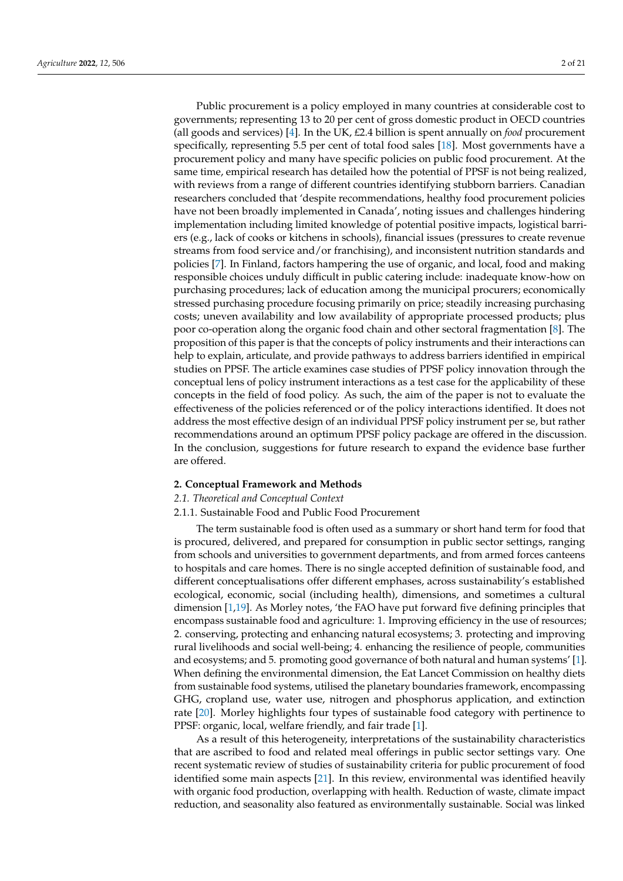Public procurement is a policy employed in many countries at considerable cost to governments; representing 13 to 20 per cent of gross domestic product in OECD countries (all goods and services) [\[4\]](#page-18-10). In the UK, £2.4 billion is spent annually on *food* procurement specifically, representing 5.5 per cent of total food sales [\[18\]](#page-18-11). Most governments have a procurement policy and many have specific policies on public food procurement. At the same time, empirical research has detailed how the potential of PPSF is not being realized, with reviews from a range of different countries identifying stubborn barriers. Canadian researchers concluded that 'despite recommendations, healthy food procurement policies have not been broadly implemented in Canada', noting issues and challenges hindering implementation including limited knowledge of potential positive impacts, logistical barriers (e.g., lack of cooks or kitchens in schools), financial issues (pressures to create revenue streams from food service and/or franchising), and inconsistent nutrition standards and policies [\[7\]](#page-18-3). In Finland, factors hampering the use of organic, and local, food and making responsible choices unduly difficult in public catering include: inadequate know-how on purchasing procedures; lack of education among the municipal procurers; economically stressed purchasing procedure focusing primarily on price; steadily increasing purchasing costs; uneven availability and low availability of appropriate processed products; plus poor co-operation along the organic food chain and other sectoral fragmentation [\[8\]](#page-18-4). The proposition of this paper is that the concepts of policy instruments and their interactions can help to explain, articulate, and provide pathways to address barriers identified in empirical studies on PPSF. The article examines case studies of PPSF policy innovation through the conceptual lens of policy instrument interactions as a test case for the applicability of these concepts in the field of food policy. As such, the aim of the paper is not to evaluate the effectiveness of the policies referenced or of the policy interactions identified. It does not address the most effective design of an individual PPSF policy instrument per se, but rather recommendations around an optimum PPSF policy package are offered in the discussion. In the conclusion, suggestions for future research to expand the evidence base further are offered.

# **2. Conceptual Framework and Methods**

# *2.1. Theoretical and Conceptual Context*

#### 2.1.1. Sustainable Food and Public Food Procurement

The term sustainable food is often used as a summary or short hand term for food that is procured, delivered, and prepared for consumption in public sector settings, ranging from schools and universities to government departments, and from armed forces canteens to hospitals and care homes. There is no single accepted definition of sustainable food, and different conceptualisations offer different emphases, across sustainability's established ecological, economic, social (including health), dimensions, and sometimes a cultural dimension [\[1](#page-18-0)[,19\]](#page-18-12). As Morley notes, 'the FAO have put forward five defining principles that encompass sustainable food and agriculture: 1. Improving efficiency in the use of resources; 2. conserving, protecting and enhancing natural ecosystems; 3. protecting and improving rural livelihoods and social well-being; 4. enhancing the resilience of people, communities and ecosystems; and 5. promoting good governance of both natural and human systems' [\[1\]](#page-18-0). When defining the environmental dimension, the Eat Lancet Commission on healthy diets from sustainable food systems, utilised the planetary boundaries framework, encompassing GHG, cropland use, water use, nitrogen and phosphorus application, and extinction rate [\[20\]](#page-18-13). Morley highlights four types of sustainable food category with pertinence to PPSF: organic, local, welfare friendly, and fair trade [\[1\]](#page-18-0).

As a result of this heterogeneity, interpretations of the sustainability characteristics that are ascribed to food and related meal offerings in public sector settings vary. One recent systematic review of studies of sustainability criteria for public procurement of food identified some main aspects [\[21\]](#page-18-14). In this review, environmental was identified heavily with organic food production, overlapping with health. Reduction of waste, climate impact reduction, and seasonality also featured as environmentally sustainable. Social was linked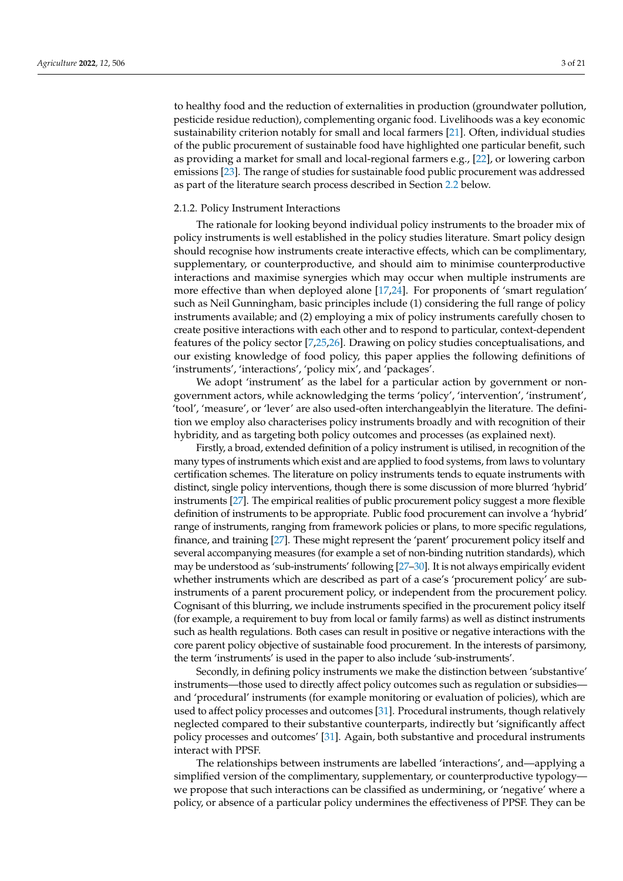to healthy food and the reduction of externalities in production (groundwater pollution, pesticide residue reduction), complementing organic food. Livelihoods was a key economic sustainability criterion notably for small and local farmers [\[21\]](#page-18-14). Often, individual studies of the public procurement of sustainable food have highlighted one particular benefit, such as providing a market for small and local-regional farmers e.g., [\[22\]](#page-18-15), or lowering carbon emissions [\[23\]](#page-19-0). The range of studies for sustainable food public procurement was addressed as part of the literature search process described in Section [2.2](#page-3-0) below.

#### 2.1.2. Policy Instrument Interactions

The rationale for looking beyond individual policy instruments to the broader mix of policy instruments is well established in the policy studies literature. Smart policy design should recognise how instruments create interactive effects, which can be complimentary, supplementary, or counterproductive, and should aim to minimise counterproductive interactions and maximise synergies which may occur when multiple instruments are more effective than when deployed alone [\[17](#page-18-9)[,24\]](#page-19-1). For proponents of 'smart regulation' such as Neil Gunningham, basic principles include (1) considering the full range of policy instruments available; and (2) employing a mix of policy instruments carefully chosen to create positive interactions with each other and to respond to particular, context-dependent features of the policy sector [\[7,](#page-18-3)[25,](#page-19-2)[26\]](#page-19-3). Drawing on policy studies conceptualisations, and our existing knowledge of food policy, this paper applies the following definitions of 'instruments', 'interactions', 'policy mix', and 'packages'.

We adopt 'instrument' as the label for a particular action by government or nongovernment actors, while acknowledging the terms 'policy', 'intervention', 'instrument', 'tool', 'measure', or 'lever' are also used-often interchangeablyin the literature. The definition we employ also characterises policy instruments broadly and with recognition of their hybridity, and as targeting both policy outcomes and processes (as explained next).

Firstly, a broad, extended definition of a policy instrument is utilised, in recognition of the many types of instruments which exist and are applied to food systems, from laws to voluntary certification schemes. The literature on policy instruments tends to equate instruments with distinct, single policy interventions, though there is some discussion of more blurred 'hybrid' instruments [\[27\]](#page-19-4). The empirical realities of public procurement policy suggest a more flexible definition of instruments to be appropriate. Public food procurement can involve a 'hybrid' range of instruments, ranging from framework policies or plans, to more specific regulations, finance, and training [\[27\]](#page-19-4). These might represent the 'parent' procurement policy itself and several accompanying measures (for example a set of non-binding nutrition standards), which may be understood as 'sub-instruments' following [\[27–](#page-19-4)[30\]](#page-19-5). It is not always empirically evident whether instruments which are described as part of a case's 'procurement policy' are subinstruments of a parent procurement policy, or independent from the procurement policy. Cognisant of this blurring, we include instruments specified in the procurement policy itself (for example, a requirement to buy from local or family farms) as well as distinct instruments such as health regulations. Both cases can result in positive or negative interactions with the core parent policy objective of sustainable food procurement. In the interests of parsimony, the term 'instruments' is used in the paper to also include 'sub-instruments'.

Secondly, in defining policy instruments we make the distinction between 'substantive' instruments—those used to directly affect policy outcomes such as regulation or subsidies and 'procedural' instruments (for example monitoring or evaluation of policies), which are used to affect policy processes and outcomes [\[31\]](#page-19-6). Procedural instruments, though relatively neglected compared to their substantive counterparts, indirectly but 'significantly affect policy processes and outcomes' [\[31\]](#page-19-6). Again, both substantive and procedural instruments interact with PPSF.

The relationships between instruments are labelled 'interactions', and—applying a simplified version of the complimentary, supplementary, or counterproductive typology we propose that such interactions can be classified as undermining, or 'negative' where a policy, or absence of a particular policy undermines the effectiveness of PPSF. They can be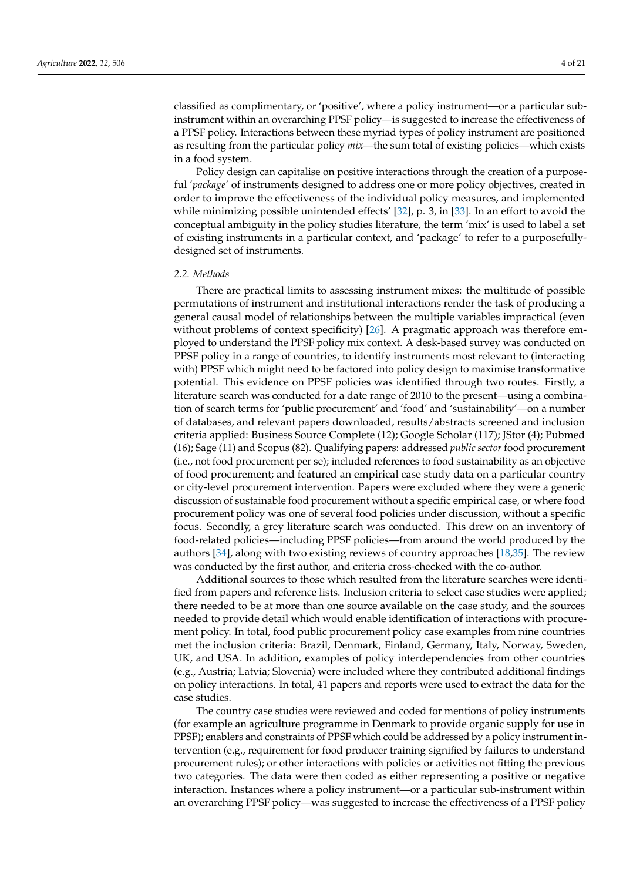classified as complimentary, or 'positive', where a policy instrument—or a particular subinstrument within an overarching PPSF policy—is suggested to increase the effectiveness of a PPSF policy. Interactions between these myriad types of policy instrument are positioned as resulting from the particular policy *mix*—the sum total of existing policies—which exists in a food system.

Policy design can capitalise on positive interactions through the creation of a purposeful '*package*' of instruments designed to address one or more policy objectives, created in order to improve the effectiveness of the individual policy measures, and implemented while minimizing possible unintended effects' [\[32\]](#page-19-7), p. 3, in [\[33\]](#page-19-8). In an effort to avoid the conceptual ambiguity in the policy studies literature, the term 'mix' is used to label a set of existing instruments in a particular context, and 'package' to refer to a purposefullydesigned set of instruments.

## <span id="page-3-0"></span>*2.2. Methods*

There are practical limits to assessing instrument mixes: the multitude of possible permutations of instrument and institutional interactions render the task of producing a general causal model of relationships between the multiple variables impractical (even without problems of context specificity) [\[26\]](#page-19-3). A pragmatic approach was therefore employed to understand the PPSF policy mix context. A desk-based survey was conducted on PPSF policy in a range of countries, to identify instruments most relevant to (interacting with) PPSF which might need to be factored into policy design to maximise transformative potential. This evidence on PPSF policies was identified through two routes. Firstly, a literature search was conducted for a date range of 2010 to the present—using a combination of search terms for 'public procurement' and 'food' and 'sustainability'—on a number of databases, and relevant papers downloaded, results/abstracts screened and inclusion criteria applied: Business Source Complete (12); Google Scholar (117); JStor (4); Pubmed (16); Sage (11) and Scopus (82). Qualifying papers: addressed *public sector* food procurement (i.e., not food procurement per se); included references to food sustainability as an objective of food procurement; and featured an empirical case study data on a particular country or city-level procurement intervention. Papers were excluded where they were a generic discussion of sustainable food procurement without a specific empirical case, or where food procurement policy was one of several food policies under discussion, without a specific focus. Secondly, a grey literature search was conducted. This drew on an inventory of food-related policies—including PPSF policies—from around the world produced by the authors [\[34\]](#page-19-9), along with two existing reviews of country approaches [\[18,](#page-18-11)[35\]](#page-19-10). The review was conducted by the first author, and criteria cross-checked with the co-author.

Additional sources to those which resulted from the literature searches were identified from papers and reference lists. Inclusion criteria to select case studies were applied; there needed to be at more than one source available on the case study, and the sources needed to provide detail which would enable identification of interactions with procurement policy. In total, food public procurement policy case examples from nine countries met the inclusion criteria: Brazil, Denmark, Finland, Germany, Italy, Norway, Sweden, UK, and USA. In addition, examples of policy interdependencies from other countries (e.g., Austria; Latvia; Slovenia) were included where they contributed additional findings on policy interactions. In total, 41 papers and reports were used to extract the data for the case studies.

The country case studies were reviewed and coded for mentions of policy instruments (for example an agriculture programme in Denmark to provide organic supply for use in PPSF); enablers and constraints of PPSF which could be addressed by a policy instrument intervention (e.g., requirement for food producer training signified by failures to understand procurement rules); or other interactions with policies or activities not fitting the previous two categories. The data were then coded as either representing a positive or negative interaction. Instances where a policy instrument—or a particular sub-instrument within an overarching PPSF policy—was suggested to increase the effectiveness of a PPSF policy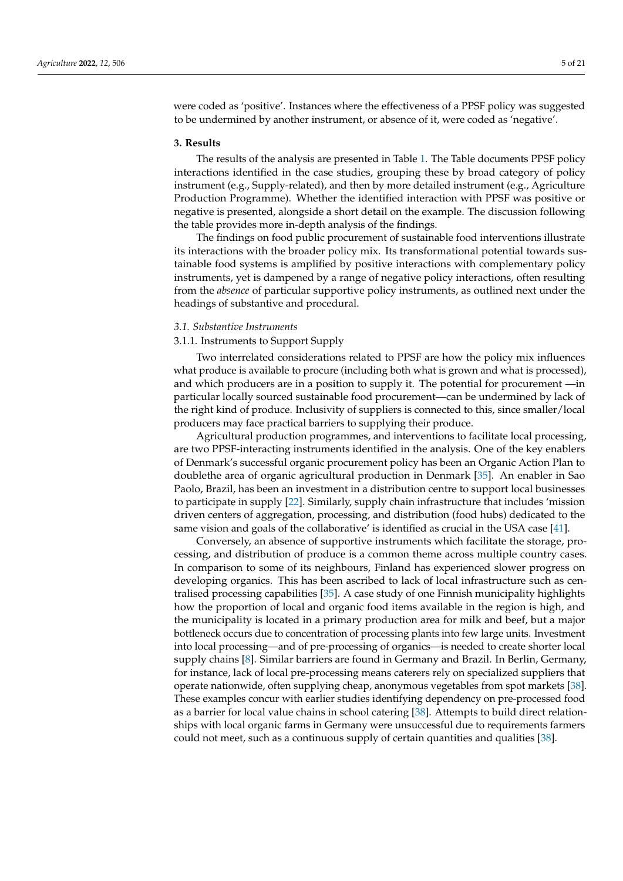were coded as 'positive'. Instances where the effectiveness of a PPSF policy was suggested to be undermined by another instrument, or absence of it, were coded as 'negative'.

#### **3. Results**

The results of the analysis are presented in Table [1.](#page-11-0) The Table documents PPSF policy interactions identified in the case studies, grouping these by broad category of policy instrument (e.g., Supply-related), and then by more detailed instrument (e.g., Agriculture Production Programme). Whether the identified interaction with PPSF was positive or negative is presented, alongside a short detail on the example. The discussion following the table provides more in-depth analysis of the findings.

The findings on food public procurement of sustainable food interventions illustrate its interactions with the broader policy mix. Its transformational potential towards sustainable food systems is amplified by positive interactions with complementary policy instruments, yet is dampened by a range of negative policy interactions, often resulting from the *absence* of particular supportive policy instruments, as outlined next under the headings of substantive and procedural.

#### *3.1. Substantive Instruments*

#### 3.1.1. Instruments to Support Supply

Two interrelated considerations related to PPSF are how the policy mix influences what produce is available to procure (including both what is grown and what is processed), and which producers are in a position to supply it. The potential for procurement —in particular locally sourced sustainable food procurement—can be undermined by lack of the right kind of produce. Inclusivity of suppliers is connected to this, since smaller/local producers may face practical barriers to supplying their produce.

Agricultural production programmes, and interventions to facilitate local processing, are two PPSF-interacting instruments identified in the analysis. One of the key enablers of Denmark's successful organic procurement policy has been an Organic Action Plan to doublethe area of organic agricultural production in Denmark [\[35\]](#page-19-10). An enabler in Sao Paolo, Brazil, has been an investment in a distribution centre to support local businesses to participate in supply [\[22\]](#page-18-15). Similarly, supply chain infrastructure that includes 'mission driven centers of aggregation, processing, and distribution (food hubs) dedicated to the same vision and goals of the collaborative' is identified as crucial in the USA case [\[41\]](#page-19-11).

Conversely, an absence of supportive instruments which facilitate the storage, processing, and distribution of produce is a common theme across multiple country cases. In comparison to some of its neighbours, Finland has experienced slower progress on developing organics. This has been ascribed to lack of local infrastructure such as centralised processing capabilities [\[35\]](#page-19-10). A case study of one Finnish municipality highlights how the proportion of local and organic food items available in the region is high, and the municipality is located in a primary production area for milk and beef, but a major bottleneck occurs due to concentration of processing plants into few large units. Investment into local processing—and of pre-processing of organics—is needed to create shorter local supply chains [\[8\]](#page-18-4). Similar barriers are found in Germany and Brazil. In Berlin, Germany, for instance, lack of local pre-processing means caterers rely on specialized suppliers that operate nationwide, often supplying cheap, anonymous vegetables from spot markets [\[38\]](#page-19-12). These examples concur with earlier studies identifying dependency on pre-processed food as a barrier for local value chains in school catering [\[38\]](#page-19-12). Attempts to build direct relationships with local organic farms in Germany were unsuccessful due to requirements farmers could not meet, such as a continuous supply of certain quantities and qualities [\[38\]](#page-19-12).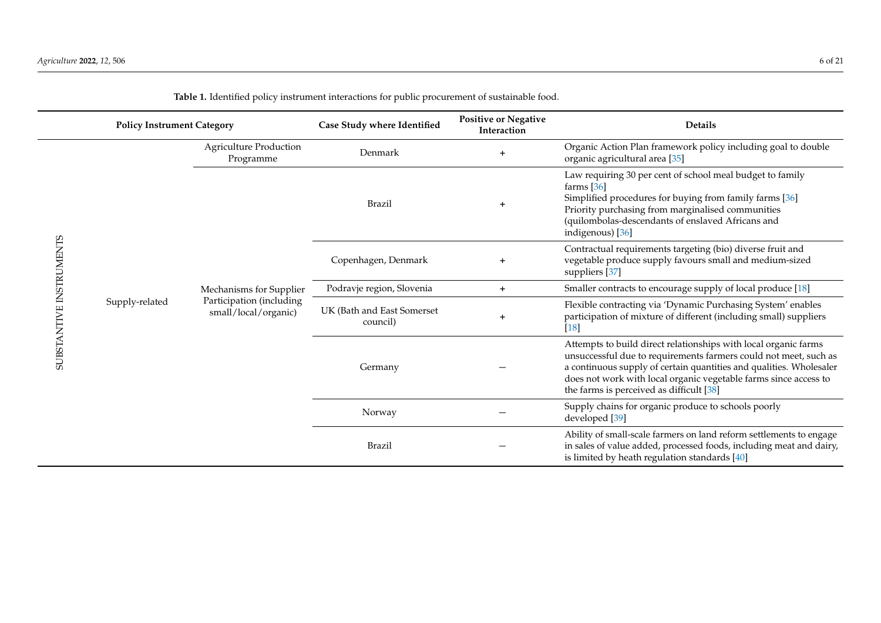|                         | <b>Policy Instrument Category</b> |                                                                             | Case Study where Identified            | <b>Positive or Negative</b><br>Interaction | <b>Details</b>                                                                                                                                                                                                                                                                                                             |
|-------------------------|-----------------------------------|-----------------------------------------------------------------------------|----------------------------------------|--------------------------------------------|----------------------------------------------------------------------------------------------------------------------------------------------------------------------------------------------------------------------------------------------------------------------------------------------------------------------------|
| SUBSTANTIVE INSTRUMENTS | Supply-related                    | <b>Agriculture Production</b><br>Programme                                  | Denmark                                | $\div$                                     | Organic Action Plan framework policy including goal to double<br>organic agricultural area [35]                                                                                                                                                                                                                            |
|                         |                                   | Mechanisms for Supplier<br>Participation (including<br>small/local/organic) | <b>Brazil</b>                          | $\ddot{}$                                  | Law requiring 30 per cent of school meal budget to family<br>farms $[36]$<br>Simplified procedures for buying from family farms [36]<br>Priority purchasing from marginalised communities<br>(quilombolas-descendants of enslaved Africans and<br>indigenous) [36]                                                         |
|                         |                                   |                                                                             | Copenhagen, Denmark                    | $+$                                        | Contractual requirements targeting (bio) diverse fruit and<br>vegetable produce supply favours small and medium-sized<br>suppliers [37]                                                                                                                                                                                    |
|                         |                                   |                                                                             | Podravje region, Slovenia              | $+$                                        | Smaller contracts to encourage supply of local produce [18]                                                                                                                                                                                                                                                                |
|                         |                                   |                                                                             | UK (Bath and East Somerset<br>council) | $\ddot{}$                                  | Flexible contracting via 'Dynamic Purchasing System' enables<br>participation of mixture of different (including small) suppliers<br>$[18]$                                                                                                                                                                                |
|                         |                                   |                                                                             | Germany                                |                                            | Attempts to build direct relationships with local organic farms<br>unsuccessful due to requirements farmers could not meet, such as<br>a continuous supply of certain quantities and qualities. Wholesaler<br>does not work with local organic vegetable farms since access to<br>the farms is perceived as difficult [38] |
|                         |                                   |                                                                             | Norway                                 |                                            | Supply chains for organic produce to schools poorly<br>developed [39]                                                                                                                                                                                                                                                      |
|                         |                                   |                                                                             | <b>Brazil</b>                          |                                            | Ability of small-scale farmers on land reform settlements to engage<br>in sales of value added, processed foods, including meat and dairy,<br>is limited by heath regulation standards [40]                                                                                                                                |

**Table 1.** Identified policy instrument interactions for public procurement of sustainable food.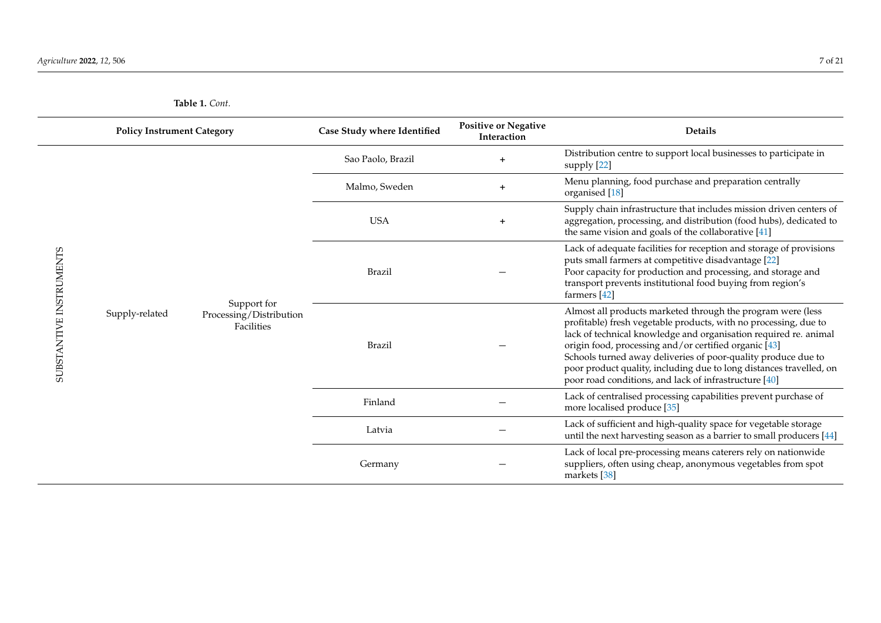SUBSTANTIVE INSTRUMENTS

SUBSTANTIVE INSTRUMENTS

| <b>Policy Instrument Category</b> |                                                      | Case Study where Identified | <b>Positive or Negative</b><br>Interaction | <b>Details</b>                                                                                                                                                                                                                                                                                                                                                                                                                                                |
|-----------------------------------|------------------------------------------------------|-----------------------------|--------------------------------------------|---------------------------------------------------------------------------------------------------------------------------------------------------------------------------------------------------------------------------------------------------------------------------------------------------------------------------------------------------------------------------------------------------------------------------------------------------------------|
|                                   |                                                      | Sao Paolo, Brazil           | $\ddag$                                    | Distribution centre to support local businesses to participate in<br>supply [22]                                                                                                                                                                                                                                                                                                                                                                              |
|                                   |                                                      | Malmo, Sweden               | $\ddot{}$                                  | Menu planning, food purchase and preparation centrally<br>organised [18]                                                                                                                                                                                                                                                                                                                                                                                      |
|                                   |                                                      | <b>USA</b>                  | $\ddot{}$                                  | Supply chain infrastructure that includes mission driven centers of<br>aggregation, processing, and distribution (food hubs), dedicated to<br>the same vision and goals of the collaborative $[41]$                                                                                                                                                                                                                                                           |
|                                   |                                                      | Brazil                      |                                            | Lack of adequate facilities for reception and storage of provisions<br>puts small farmers at competitive disadvantage [22]<br>Poor capacity for production and processing, and storage and<br>transport prevents institutional food buying from region's<br>farmers [42]                                                                                                                                                                                      |
| Supply-related                    | Support for<br>Processing/Distribution<br>Facilities | <b>Brazil</b>               |                                            | Almost all products marketed through the program were (less<br>profitable) fresh vegetable products, with no processing, due to<br>lack of technical knowledge and organisation required re. animal<br>origin food, processing and/or certified organic [43]<br>Schools turned away deliveries of poor-quality produce due to<br>poor product quality, including due to long distances travelled, on<br>poor road conditions, and lack of infrastructure [40] |
|                                   |                                                      | Finland                     |                                            | Lack of centralised processing capabilities prevent purchase of<br>more localised produce [35]                                                                                                                                                                                                                                                                                                                                                                |
|                                   |                                                      | I <sub>off</sub>            |                                            | Lack of sufficient and high-quality space for vegetable storage                                                                                                                                                                                                                                                                                                                                                                                               |

Latvia −

Germany −

**Table 1.** *Cont.*

until the next harvesting season as a barrier to small producers [\[44\]](#page-19-22)

Lack of local pre-processing means caterers rely on nationwide suppliers, often using cheap, anonymous vegetables from spot

markets [\[38\]](#page-19-16)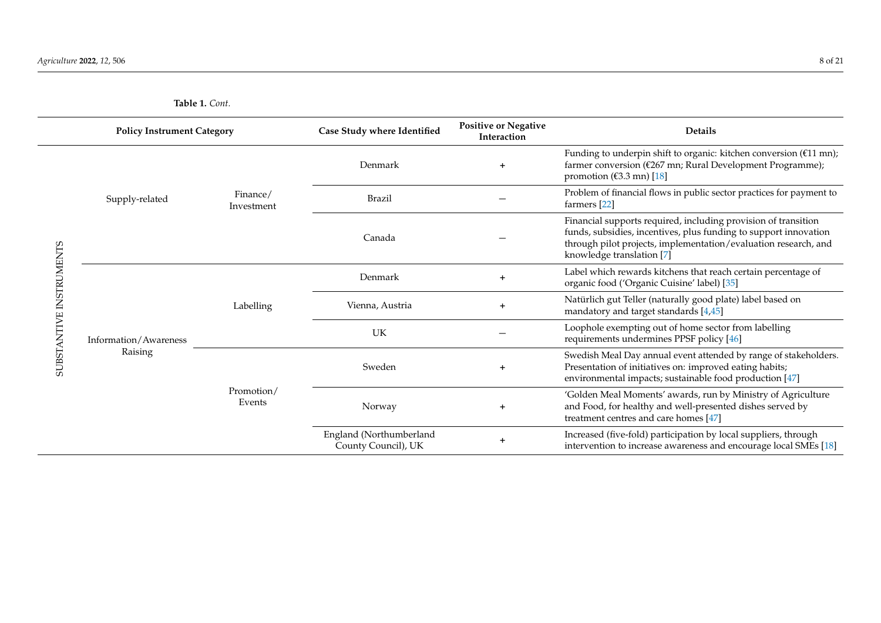| <b>Policy Instrument Category</b> |                                  | Case Study where Identified       | <b>Positive or Negative</b><br>Interaction     | <b>Details</b> |                                                                                                                                                                                                                                    |
|-----------------------------------|----------------------------------|-----------------------------------|------------------------------------------------|----------------|------------------------------------------------------------------------------------------------------------------------------------------------------------------------------------------------------------------------------------|
| SUBSTANTIVE INSTRUMENTS           |                                  | Finance/<br>Investment            | Denmark                                        | $\ddot{}$      | Funding to underpin shift to organic: kitchen conversion ( $£11$ mn);<br>farmer conversion (€267 mn; Rural Development Programme);<br>promotion ( $\epsilon$ 3.3 mn) [18]                                                          |
|                                   | Supply-related                   |                                   | Brazil                                         |                | Problem of financial flows in public sector practices for payment to<br>farmers [22]                                                                                                                                               |
|                                   |                                  |                                   | Canada                                         |                | Financial supports required, including provision of transition<br>funds, subsidies, incentives, plus funding to support innovation<br>through pilot projects, implementation/evaluation research, and<br>knowledge translation [7] |
|                                   | Information/Awareness<br>Raising | Labelling<br>Promotion/<br>Events | Denmark                                        | $+$            | Label which rewards kitchens that reach certain percentage of<br>organic food ('Organic Cuisine' label) [35]                                                                                                                       |
|                                   |                                  |                                   | Vienna, Austria                                | $+$            | Natürlich gut Teller (naturally good plate) label based on<br>mandatory and target standards [4,45]                                                                                                                                |
|                                   |                                  |                                   | UK                                             |                | Loophole exempting out of home sector from labelling<br>requirements undermines PPSF policy [46]                                                                                                                                   |
|                                   |                                  |                                   | Sweden                                         | $+$            | Swedish Meal Day annual event attended by range of stakeholders.<br>Presentation of initiatives on: improved eating habits;<br>environmental impacts; sustainable food production [47]                                             |
|                                   |                                  |                                   | Norway                                         |                | 'Golden Meal Moments' awards, run by Ministry of Agriculture<br>and Food, for healthy and well-presented dishes served by<br>treatment centres and care homes [47]                                                                 |
|                                   |                                  |                                   | England (Northumberland<br>County Council), UK | $\ddot{}$      | Increased (five-fold) participation by local suppliers, through<br>intervention to increase awareness and encourage local SMEs [18]                                                                                                |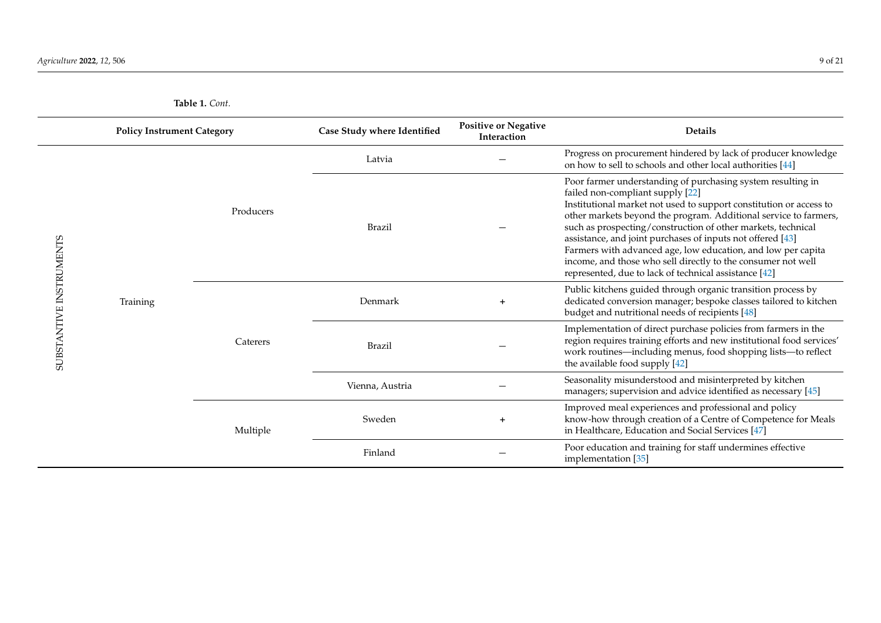| <b>Policy Instrument Category</b> |          | Case Study where Identified | <b>Positive or Negative</b><br>Interaction | <b>Details</b> |                                                                                                                                                                                                                                                                                                                                                                                                                                                                                                                                                                  |
|-----------------------------------|----------|-----------------------------|--------------------------------------------|----------------|------------------------------------------------------------------------------------------------------------------------------------------------------------------------------------------------------------------------------------------------------------------------------------------------------------------------------------------------------------------------------------------------------------------------------------------------------------------------------------------------------------------------------------------------------------------|
|                                   |          | Producers                   | Latvia                                     |                | Progress on procurement hindered by lack of producer knowledge<br>on how to sell to schools and other local authorities [44]                                                                                                                                                                                                                                                                                                                                                                                                                                     |
|                                   | Training |                             | Brazil                                     |                | Poor farmer understanding of purchasing system resulting in<br>failed non-compliant supply [22]<br>Institutional market not used to support constitution or access to<br>other markets beyond the program. Additional service to farmers,<br>such as prospecting/construction of other markets, technical<br>assistance, and joint purchases of inputs not offered [43]<br>Farmers with advanced age, low education, and low per capita<br>income, and those who sell directly to the consumer not well<br>represented, due to lack of technical assistance [42] |
|                                   |          | Caterers                    | Denmark                                    |                | Public kitchens guided through organic transition process by<br>dedicated conversion manager; bespoke classes tailored to kitchen<br>budget and nutritional needs of recipients [48]                                                                                                                                                                                                                                                                                                                                                                             |
| SUBSTANTIVE INSTRUMENTS           |          |                             | <b>Brazil</b>                              |                | Implementation of direct purchase policies from farmers in the<br>region requires training efforts and new institutional food services'<br>work routines—including menus, food shopping lists—to reflect<br>the available food supply [42]                                                                                                                                                                                                                                                                                                                       |
|                                   |          |                             | Vienna, Austria                            |                | Seasonality misunderstood and misinterpreted by kitchen<br>managers; supervision and advice identified as necessary [45]                                                                                                                                                                                                                                                                                                                                                                                                                                         |
|                                   |          | Multiple                    | Sweden                                     |                | Improved meal experiences and professional and policy<br>know-how through creation of a Centre of Competence for Meals<br>in Healthcare, Education and Social Services [47]                                                                                                                                                                                                                                                                                                                                                                                      |
|                                   |          |                             | Finland                                    |                | Poor education and training for staff undermines effective<br>implementation [35]                                                                                                                                                                                                                                                                                                                                                                                                                                                                                |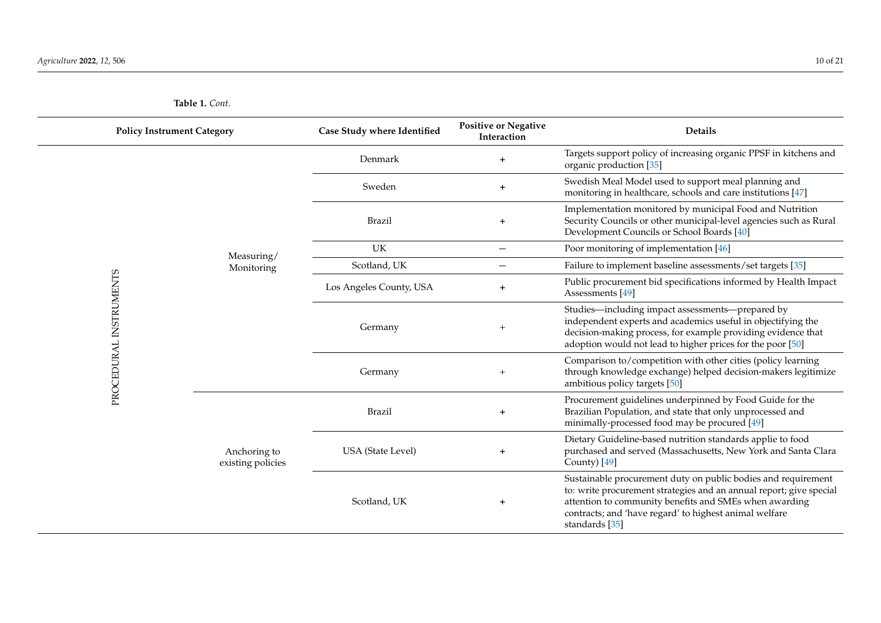| <b>Policy Instrument Category</b> |                                   | Case Study where Identified | <b>Positive or Negative</b><br>Interaction | Details                                                                                                                                                                                                                                                                    |
|-----------------------------------|-----------------------------------|-----------------------------|--------------------------------------------|----------------------------------------------------------------------------------------------------------------------------------------------------------------------------------------------------------------------------------------------------------------------------|
|                                   |                                   | Denmark                     | $+$                                        | Targets support policy of increasing organic PPSF in kitchens and<br>organic production [35]                                                                                                                                                                               |
|                                   |                                   | Sweden                      | $+$                                        | Swedish Meal Model used to support meal planning and<br>monitoring in healthcare, schools and care institutions [47]                                                                                                                                                       |
|                                   |                                   | <b>Brazil</b>               | $+$                                        | Implementation monitored by municipal Food and Nutrition<br>Security Councils or other municipal-level agencies such as Rural<br>Development Councils or School Boards [40]                                                                                                |
|                                   | Measuring/                        | UK                          | $\qquad \qquad -$                          | Poor monitoring of implementation [46]                                                                                                                                                                                                                                     |
|                                   | Monitoring                        | Scotland, UK                | $\qquad \qquad$                            | Failure to implement baseline assessments/set targets [35]                                                                                                                                                                                                                 |
|                                   |                                   | Los Angeles County, USA     | $+$                                        | Public procurement bid specifications informed by Health Impact<br>Assessments [49]                                                                                                                                                                                        |
| PROCEDURAL INSTRUMENTS            | Anchoring to<br>existing policies | Germany                     | $+$                                        | Studies-including impact assessments-prepared by<br>independent experts and academics useful in objectifying the<br>decision-making process, for example providing evidence that<br>adoption would not lead to higher prices for the poor [50]                             |
|                                   |                                   | Germany                     | $+$                                        | Comparison to/competition with other cities (policy learning<br>through knowledge exchange) helped decision-makers legitimize<br>ambitious policy targets [50]                                                                                                             |
|                                   |                                   | <b>Brazil</b>               | $+$                                        | Procurement guidelines underpinned by Food Guide for the<br>Brazilian Population, and state that only unprocessed and<br>minimally-processed food may be procured [49]                                                                                                     |
|                                   |                                   | <b>USA</b> (State Level)    | $\pm$                                      | Dietary Guideline-based nutrition standards applie to food<br>purchased and served (Massachusetts, New York and Santa Clara<br>County) [49]                                                                                                                                |
|                                   |                                   | Scotland, UK                | $+$                                        | Sustainable procurement duty on public bodies and requirement<br>to: write procurement strategies and an annual report; give special<br>attention to community benefits and SMEs when awarding<br>contracts; and 'have regard' to highest animal welfare<br>standards [35] |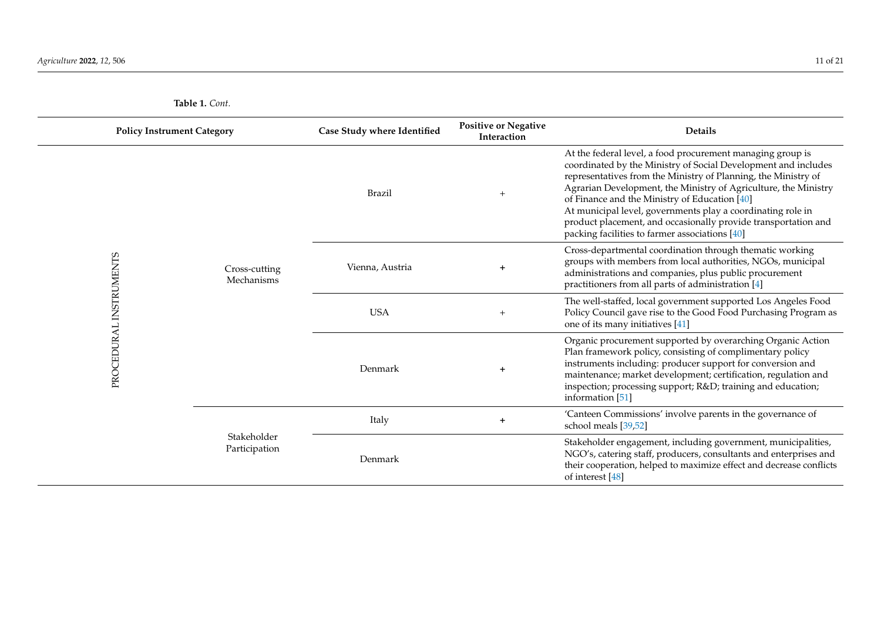|  | <b>Policy Instrument Category</b><br>Case Study where Identified                      |                 | <b>Positive or Negative</b><br>Interaction | <b>Details</b>                                                                                                                                                                                                                                                                                                                                                                                                                                                                                        |
|--|---------------------------------------------------------------------------------------|-----------------|--------------------------------------------|-------------------------------------------------------------------------------------------------------------------------------------------------------------------------------------------------------------------------------------------------------------------------------------------------------------------------------------------------------------------------------------------------------------------------------------------------------------------------------------------------------|
|  |                                                                                       | Brazil          | $+$                                        | At the federal level, a food procurement managing group is<br>coordinated by the Ministry of Social Development and includes<br>representatives from the Ministry of Planning, the Ministry of<br>Agrarian Development, the Ministry of Agriculture, the Ministry<br>of Finance and the Ministry of Education [40]<br>At municipal level, governments play a coordinating role in<br>product placement, and occasionally provide transportation and<br>packing facilities to farmer associations [40] |
|  | PROCEDURAL INSTRUMENTS<br>Cross-cutting<br>Mechanisms<br>Stakeholder<br>Participation | Vienna, Austria |                                            | Cross-departmental coordination through thematic working<br>groups with members from local authorities, NGOs, municipal<br>administrations and companies, plus public procurement<br>practitioners from all parts of administration [4]                                                                                                                                                                                                                                                               |
|  |                                                                                       | <b>USA</b>      | $+$                                        | The well-staffed, local government supported Los Angeles Food<br>Policy Council gave rise to the Good Food Purchasing Program as<br>one of its many initiatives [41]                                                                                                                                                                                                                                                                                                                                  |
|  |                                                                                       | Denmark         | $\ddot{}$                                  | Organic procurement supported by overarching Organic Action<br>Plan framework policy, consisting of complimentary policy<br>instruments including: producer support for conversion and<br>maintenance; market development; certification, regulation and<br>inspection; processing support; R&D training and education;<br>information [51]                                                                                                                                                           |
|  |                                                                                       | Italy           | $+$                                        | 'Canteen Commissions' involve parents in the governance of<br>school meals [39,52]                                                                                                                                                                                                                                                                                                                                                                                                                    |
|  |                                                                                       | Denmark         |                                            | Stakeholder engagement, including government, municipalities,<br>NGO's, catering staff, producers, consultants and enterprises and<br>their cooperation, helped to maximize effect and decrease conflicts<br>of interest [48]                                                                                                                                                                                                                                                                         |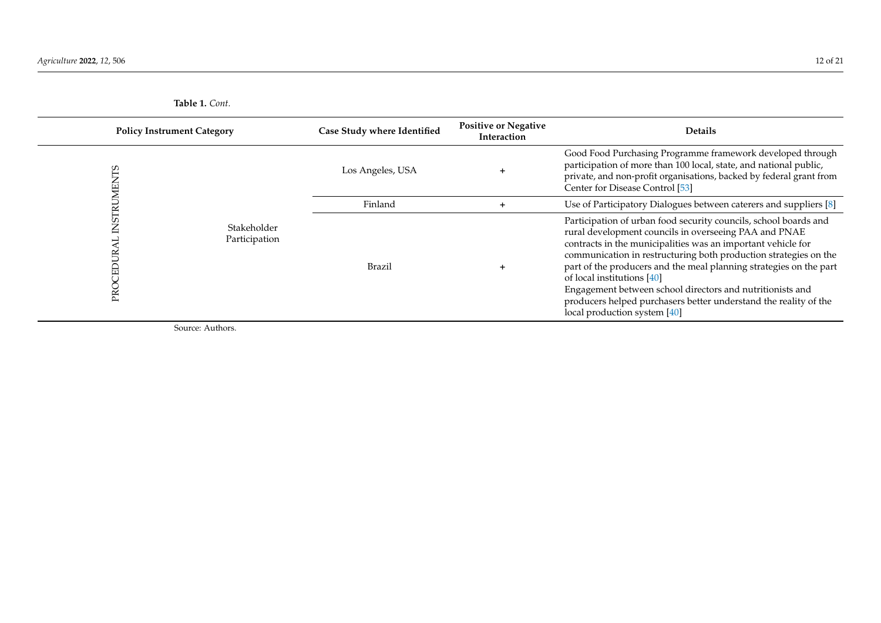|          | <b>Policy Instrument Category</b> |                  | <b>Positive or Negative</b><br>Interaction | <b>Details</b>                                                                                                                                                                                                                                                                                                                                                                                                                                                                                                                     |
|----------|-----------------------------------|------------------|--------------------------------------------|------------------------------------------------------------------------------------------------------------------------------------------------------------------------------------------------------------------------------------------------------------------------------------------------------------------------------------------------------------------------------------------------------------------------------------------------------------------------------------------------------------------------------------|
|          |                                   | Los Angeles, USA | ٠                                          | Good Food Purchasing Programme framework developed through<br>participation of more than 100 local, state, and national public,<br>private, and non-profit organisations, backed by federal grant from<br>Center for Disease Control [53]                                                                                                                                                                                                                                                                                          |
|          |                                   | Finland          |                                            | Use of Participatory Dialogues between caterers and suppliers [8]                                                                                                                                                                                                                                                                                                                                                                                                                                                                  |
| S,<br>PR | Stakeholder<br>Participation      | Brazil           |                                            | Participation of urban food security councils, school boards and<br>rural development councils in overseeing PAA and PNAE<br>contracts in the municipalities was an important vehicle for<br>communication in restructuring both production strategies on the<br>part of the producers and the meal planning strategies on the part<br>of local institutions [40]<br>Engagement between school directors and nutritionists and<br>producers helped purchasers better understand the reality of the<br>local production system [40] |

<span id="page-11-0"></span>Source: Authors.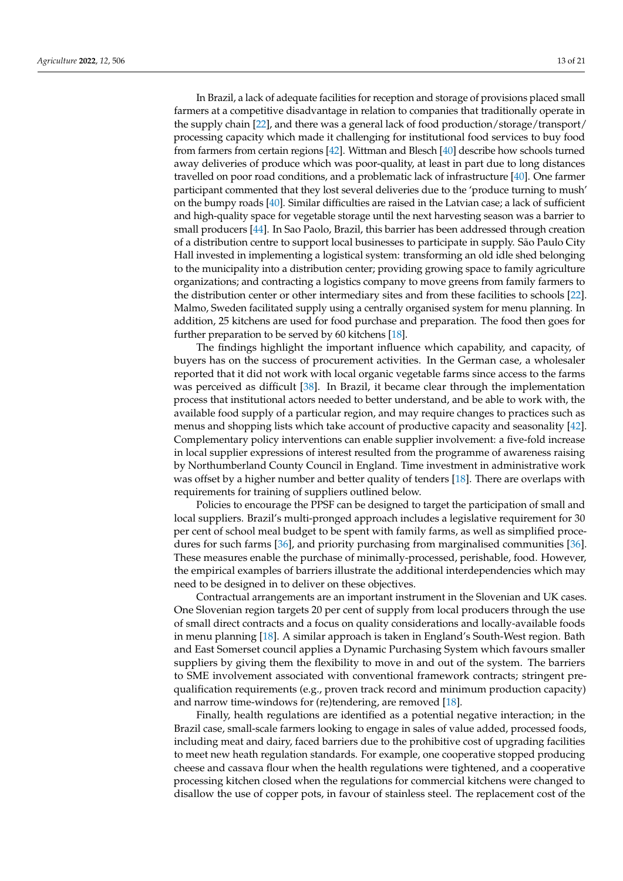In Brazil, a lack of adequate facilities for reception and storage of provisions placed small farmers at a competitive disadvantage in relation to companies that traditionally operate in the supply chain [\[22\]](#page-18-15), and there was a general lack of food production/storage/transport/ processing capacity which made it challenging for institutional food services to buy food from farmers from certain regions [\[42\]](#page-19-27). Wittman and Blesch [\[40\]](#page-19-28) describe how schools turned away deliveries of produce which was poor-quality, at least in part due to long distances travelled on poor road conditions, and a problematic lack of infrastructure [\[40\]](#page-19-28). One farmer participant commented that they lost several deliveries due to the 'produce turning to mush' on the bumpy roads [\[40\]](#page-19-28). Similar difficulties are raised in the Latvian case; a lack of sufficient and high-quality space for vegetable storage until the next harvesting season was a barrier to small producers [\[44\]](#page-19-29). In Sao Paolo, Brazil, this barrier has been addressed through creation of a distribution centre to support local businesses to participate in supply. São Paulo City Hall invested in implementing a logistical system: transforming an old idle shed belonging to the municipality into a distribution center; providing growing space to family agriculture organizations; and contracting a logistics company to move greens from family farmers to the distribution center or other intermediary sites and from these facilities to schools [\[22\]](#page-18-15). Malmo, Sweden facilitated supply using a centrally organised system for menu planning. In addition, 25 kitchens are used for food purchase and preparation. The food then goes for further preparation to be served by 60 kitchens [\[18\]](#page-18-11).

The findings highlight the important influence which capability, and capacity, of buyers has on the success of procurement activities. In the German case, a wholesaler reported that it did not work with local organic vegetable farms since access to the farms was perceived as difficult [\[38\]](#page-19-12). In Brazil, it became clear through the implementation process that institutional actors needed to better understand, and be able to work with, the available food supply of a particular region, and may require changes to practices such as menus and shopping lists which take account of productive capacity and seasonality [\[42\]](#page-19-27). Complementary policy interventions can enable supplier involvement: a five-fold increase in local supplier expressions of interest resulted from the programme of awareness raising by Northumberland County Council in England. Time investment in administrative work was offset by a higher number and better quality of tenders [\[18\]](#page-18-11). There are overlaps with requirements for training of suppliers outlined below.

Policies to encourage the PPSF can be designed to target the participation of small and local suppliers. Brazil's multi-pronged approach includes a legislative requirement for 30 per cent of school meal budget to be spent with family farms, as well as simplified procedures for such farms [\[36\]](#page-19-30), and priority purchasing from marginalised communities [\[36\]](#page-19-30). These measures enable the purchase of minimally-processed, perishable, food. However, the empirical examples of barriers illustrate the additional interdependencies which may need to be designed in to deliver on these objectives.

Contractual arrangements are an important instrument in the Slovenian and UK cases. One Slovenian region targets 20 per cent of supply from local producers through the use of small direct contracts and a focus on quality considerations and locally-available foods in menu planning [\[18\]](#page-18-11). A similar approach is taken in England's South-West region. Bath and East Somerset council applies a Dynamic Purchasing System which favours smaller suppliers by giving them the flexibility to move in and out of the system. The barriers to SME involvement associated with conventional framework contracts; stringent prequalification requirements (e.g., proven track record and minimum production capacity) and narrow time-windows for (re)tendering, are removed [\[18\]](#page-18-11).

Finally, health regulations are identified as a potential negative interaction; in the Brazil case, small-scale farmers looking to engage in sales of value added, processed foods, including meat and dairy, faced barriers due to the prohibitive cost of upgrading facilities to meet new heath regulation standards. For example, one cooperative stopped producing cheese and cassava flour when the health regulations were tightened, and a cooperative processing kitchen closed when the regulations for commercial kitchens were changed to disallow the use of copper pots, in favour of stainless steel. The replacement cost of the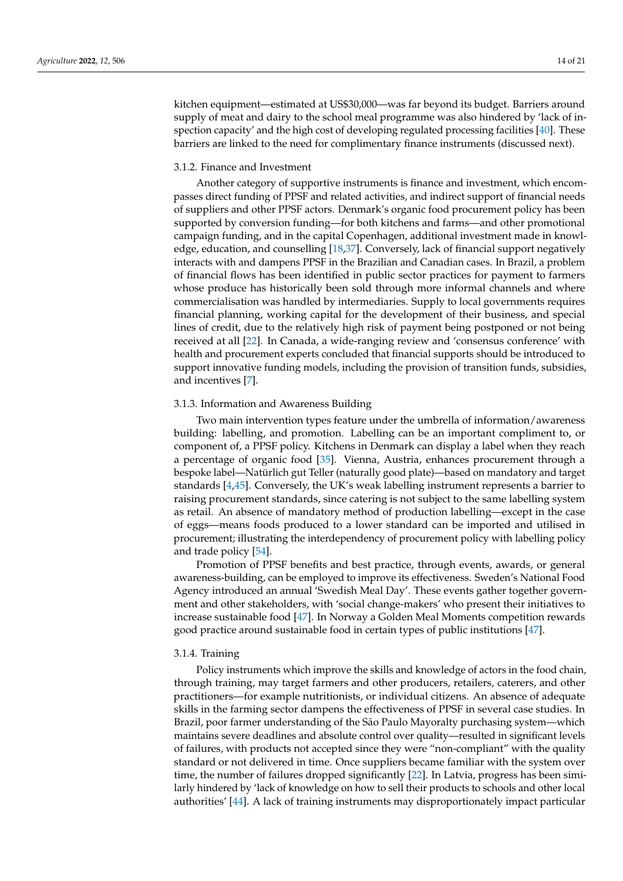kitchen equipment—estimated at US\$30,000—was far beyond its budget. Barriers around supply of meat and dairy to the school meal programme was also hindered by 'lack of inspection capacity' and the high cost of developing regulated processing facilities [\[40\]](#page-19-28). These barriers are linked to the need for complimentary finance instruments (discussed next).

# 3.1.2. Finance and Investment

Another category of supportive instruments is finance and investment, which encompasses direct funding of PPSF and related activities, and indirect support of financial needs of suppliers and other PPSF actors. Denmark's organic food procurement policy has been supported by conversion funding—for both kitchens and farms—and other promotional campaign funding, and in the capital Copenhagen, additional investment made in knowledge, education, and counselling [\[18](#page-18-11)[,37\]](#page-19-31). Conversely, lack of financial support negatively interacts with and dampens PPSF in the Brazilian and Canadian cases. In Brazil, a problem of financial flows has been identified in public sector practices for payment to farmers whose produce has historically been sold through more informal channels and where commercialisation was handled by intermediaries. Supply to local governments requires financial planning, working capital for the development of their business, and special lines of credit, due to the relatively high risk of payment being postponed or not being received at all [\[22\]](#page-18-15). In Canada, a wide-ranging review and 'consensus conference' with health and procurement experts concluded that financial supports should be introduced to support innovative funding models, including the provision of transition funds, subsidies, and incentives [\[7\]](#page-18-3).

## 3.1.3. Information and Awareness Building

Two main intervention types feature under the umbrella of information/awareness building: labelling, and promotion. Labelling can be an important compliment to, or component of, a PPSF policy. Kitchens in Denmark can display a label when they reach a percentage of organic food [\[35\]](#page-19-10). Vienna, Austria, enhances procurement through a bespoke label—Natürlich gut Teller (naturally good plate)—based on mandatory and target standards [\[4,](#page-18-10)[45\]](#page-19-32). Conversely, the UK's weak labelling instrument represents a barrier to raising procurement standards, since catering is not subject to the same labelling system as retail. An absence of mandatory method of production labelling—except in the case of eggs—means foods produced to a lower standard can be imported and utilised in procurement; illustrating the interdependency of procurement policy with labelling policy and trade policy [\[54\]](#page-20-5).

Promotion of PPSF benefits and best practice, through events, awards, or general awareness-building, can be employed to improve its effectiveness. Sweden's National Food Agency introduced an annual 'Swedish Meal Day'. These events gather together government and other stakeholders, with 'social change-makers' who present their initiatives to increase sustainable food [\[47\]](#page-19-33). In Norway a Golden Meal Moments competition rewards good practice around sustainable food in certain types of public institutions [\[47\]](#page-19-33).

#### 3.1.4. Training

Policy instruments which improve the skills and knowledge of actors in the food chain, through training, may target farmers and other producers, retailers, caterers, and other practitioners—for example nutritionists, or individual citizens. An absence of adequate skills in the farming sector dampens the effectiveness of PPSF in several case studies. In Brazil, poor farmer understanding of the São Paulo Mayoralty purchasing system—which maintains severe deadlines and absolute control over quality—resulted in significant levels of failures, with products not accepted since they were "non-compliant" with the quality standard or not delivered in time. Once suppliers became familiar with the system over time, the number of failures dropped significantly [\[22\]](#page-18-15). In Latvia, progress has been similarly hindered by 'lack of knowledge on how to sell their products to schools and other local authorities' [\[44\]](#page-19-29). A lack of training instruments may disproportionately impact particular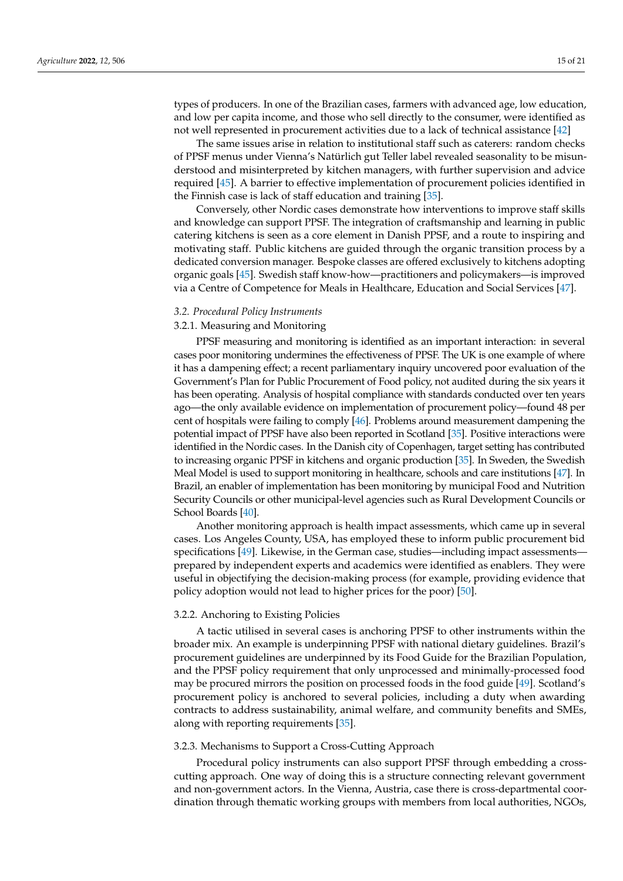types of producers. In one of the Brazilian cases, farmers with advanced age, low education, and low per capita income, and those who sell directly to the consumer, were identified as not well represented in procurement activities due to a lack of technical assistance [\[42\]](#page-19-27)

The same issues arise in relation to institutional staff such as caterers: random checks of PPSF menus under Vienna's Natürlich gut Teller label revealed seasonality to be misunderstood and misinterpreted by kitchen managers, with further supervision and advice required [\[45\]](#page-19-32). A barrier to effective implementation of procurement policies identified in the Finnish case is lack of staff education and training [\[35\]](#page-19-10).

Conversely, other Nordic cases demonstrate how interventions to improve staff skills and knowledge can support PPSF. The integration of craftsmanship and learning in public catering kitchens is seen as a core element in Danish PPSF, and a route to inspiring and motivating staff. Public kitchens are guided through the organic transition process by a dedicated conversion manager. Bespoke classes are offered exclusively to kitchens adopting organic goals [\[45\]](#page-19-32). Swedish staff know-how—practitioners and policymakers—is improved via a Centre of Competence for Meals in Healthcare, Education and Social Services [\[47\]](#page-19-33).

## *3.2. Procedural Policy Instruments*

# 3.2.1. Measuring and Monitoring

PPSF measuring and monitoring is identified as an important interaction: in several cases poor monitoring undermines the effectiveness of PPSF. The UK is one example of where it has a dampening effect; a recent parliamentary inquiry uncovered poor evaluation of the Government's Plan for Public Procurement of Food policy, not audited during the six years it has been operating. Analysis of hospital compliance with standards conducted over ten years ago—the only available evidence on implementation of procurement policy—found 48 per cent of hospitals were failing to comply [\[46\]](#page-19-34). Problems around measurement dampening the potential impact of PPSF have also been reported in Scotland [\[35\]](#page-19-10). Positive interactions were identified in the Nordic cases. In the Danish city of Copenhagen, target setting has contributed to increasing organic PPSF in kitchens and organic production [\[35\]](#page-19-10). In Sweden, the Swedish Meal Model is used to support monitoring in healthcare, schools and care institutions [\[47\]](#page-19-33). In Brazil, an enabler of implementation has been monitoring by municipal Food and Nutrition Security Councils or other municipal-level agencies such as Rural Development Councils or School Boards [\[40\]](#page-19-28).

Another monitoring approach is health impact assessments, which came up in several cases. Los Angeles County, USA, has employed these to inform public procurement bid specifications [\[49\]](#page-20-6). Likewise, in the German case, studies—including impact assessments prepared by independent experts and academics were identified as enablers. They were useful in objectifying the decision-making process (for example, providing evidence that policy adoption would not lead to higher prices for the poor) [\[50\]](#page-20-7).

#### 3.2.2. Anchoring to Existing Policies

A tactic utilised in several cases is anchoring PPSF to other instruments within the broader mix. An example is underpinning PPSF with national dietary guidelines. Brazil's procurement guidelines are underpinned by its Food Guide for the Brazilian Population, and the PPSF policy requirement that only unprocessed and minimally-processed food may be procured mirrors the position on processed foods in the food guide [\[49\]](#page-20-6). Scotland's procurement policy is anchored to several policies, including a duty when awarding contracts to address sustainability, animal welfare, and community benefits and SMEs, along with reporting requirements [\[35\]](#page-19-10).

## 3.2.3. Mechanisms to Support a Cross-Cutting Approach

Procedural policy instruments can also support PPSF through embedding a crosscutting approach. One way of doing this is a structure connecting relevant government and non-government actors. In the Vienna, Austria, case there is cross-departmental coordination through thematic working groups with members from local authorities, NGOs,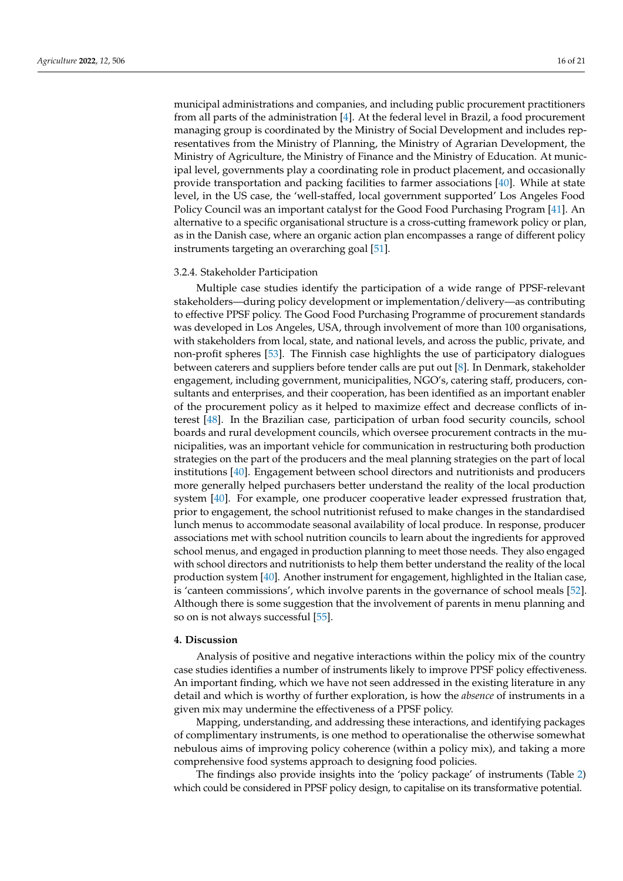municipal administrations and companies, and including public procurement practitioners from all parts of the administration [\[4\]](#page-18-10). At the federal level in Brazil, a food procurement managing group is coordinated by the Ministry of Social Development and includes representatives from the Ministry of Planning, the Ministry of Agrarian Development, the Ministry of Agriculture, the Ministry of Finance and the Ministry of Education. At municipal level, governments play a coordinating role in product placement, and occasionally provide transportation and packing facilities to farmer associations [\[40\]](#page-19-28). While at state level, in the US case, the 'well-staffed, local government supported' Los Angeles Food Policy Council was an important catalyst for the Good Food Purchasing Program [\[41\]](#page-19-11). An alternative to a specific organisational structure is a cross-cutting framework policy or plan, as in the Danish case, where an organic action plan encompasses a range of different policy instruments targeting an overarching goal [\[51\]](#page-20-8).

#### 3.2.4. Stakeholder Participation

Multiple case studies identify the participation of a wide range of PPSF-relevant stakeholders—during policy development or implementation/delivery—as contributing to effective PPSF policy. The Good Food Purchasing Programme of procurement standards was developed in Los Angeles, USA, through involvement of more than 100 organisations, with stakeholders from local, state, and national levels, and across the public, private, and non-profit spheres [\[53\]](#page-20-9). The Finnish case highlights the use of participatory dialogues between caterers and suppliers before tender calls are put out [\[8\]](#page-18-4). In Denmark, stakeholder engagement, including government, municipalities, NGO's, catering staff, producers, consultants and enterprises, and their cooperation, has been identified as an important enabler of the procurement policy as it helped to maximize effect and decrease conflicts of interest [\[48\]](#page-19-35). In the Brazilian case, participation of urban food security councils, school boards and rural development councils, which oversee procurement contracts in the municipalities, was an important vehicle for communication in restructuring both production strategies on the part of the producers and the meal planning strategies on the part of local institutions [\[40\]](#page-19-28). Engagement between school directors and nutritionists and producers more generally helped purchasers better understand the reality of the local production system [\[40\]](#page-19-28). For example, one producer cooperative leader expressed frustration that, prior to engagement, the school nutritionist refused to make changes in the standardised lunch menus to accommodate seasonal availability of local produce. In response, producer associations met with school nutrition councils to learn about the ingredients for approved school menus, and engaged in production planning to meet those needs. They also engaged with school directors and nutritionists to help them better understand the reality of the local production system [\[40\]](#page-19-28). Another instrument for engagement, highlighted in the Italian case, is 'canteen commissions', which involve parents in the governance of school meals [\[52\]](#page-20-10). Although there is some suggestion that the involvement of parents in menu planning and so on is not always successful [\[55\]](#page-20-11).

# **4. Discussion**

Analysis of positive and negative interactions within the policy mix of the country case studies identifies a number of instruments likely to improve PPSF policy effectiveness. An important finding, which we have not seen addressed in the existing literature in any detail and which is worthy of further exploration, is how the *absence* of instruments in a given mix may undermine the effectiveness of a PPSF policy.

Mapping, understanding, and addressing these interactions, and identifying packages of complimentary instruments, is one method to operationalise the otherwise somewhat nebulous aims of improving policy coherence (within a policy mix), and taking a more comprehensive food systems approach to designing food policies.

The findings also provide insights into the 'policy package' of instruments (Table [2\)](#page-16-0) which could be considered in PPSF policy design, to capitalise on its transformative potential.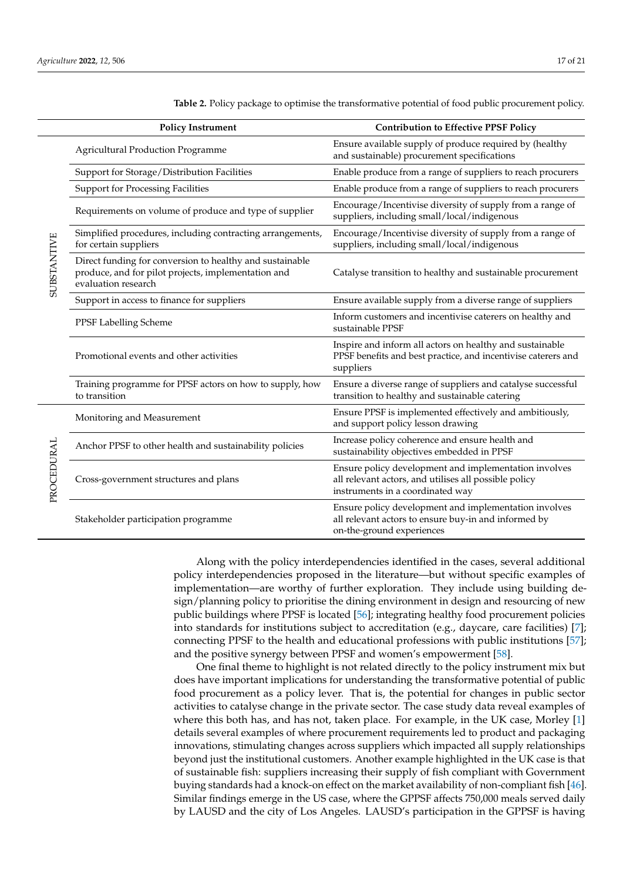|             | <b>Policy Instrument</b>                                                                                                               | <b>Contribution to Effective PPSF Policy</b>                                                                                                       |  |
|-------------|----------------------------------------------------------------------------------------------------------------------------------------|----------------------------------------------------------------------------------------------------------------------------------------------------|--|
|             | <b>Agricultural Production Programme</b>                                                                                               | Ensure available supply of produce required by (healthy<br>and sustainable) procurement specifications                                             |  |
|             | Support for Storage/Distribution Facilities                                                                                            | Enable produce from a range of suppliers to reach procurers                                                                                        |  |
|             | <b>Support for Processing Facilities</b>                                                                                               | Enable produce from a range of suppliers to reach procurers                                                                                        |  |
|             | Requirements on volume of produce and type of supplier                                                                                 | Encourage/Incentivise diversity of supply from a range of<br>suppliers, including small/local/indigenous                                           |  |
|             | Simplified procedures, including contracting arrangements,<br>for certain suppliers                                                    | Encourage/Incentivise diversity of supply from a range of<br>suppliers, including small/local/indigenous                                           |  |
| SUBSTANTIVE | Direct funding for conversion to healthy and sustainable<br>produce, and for pilot projects, implementation and<br>evaluation research | Catalyse transition to healthy and sustainable procurement                                                                                         |  |
|             | Support in access to finance for suppliers                                                                                             | Ensure available supply from a diverse range of suppliers                                                                                          |  |
|             | PPSF Labelling Scheme                                                                                                                  | Inform customers and incentivise caterers on healthy and<br>sustainable PPSF                                                                       |  |
|             | Promotional events and other activities                                                                                                | Inspire and inform all actors on healthy and sustainable<br>PPSF benefits and best practice, and incentivise caterers and<br>suppliers             |  |
|             | Training programme for PPSF actors on how to supply, how<br>to transition                                                              | Ensure a diverse range of suppliers and catalyse successful<br>transition to healthy and sustainable catering                                      |  |
|             | Monitoring and Measurement                                                                                                             | Ensure PPSF is implemented effectively and ambitiously,<br>and support policy lesson drawing                                                       |  |
|             | Anchor PPSF to other health and sustainability policies                                                                                | Increase policy coherence and ensure health and<br>sustainability objectives embedded in PPSF                                                      |  |
| PROCEDURAL  | Cross-government structures and plans                                                                                                  | Ensure policy development and implementation involves<br>all relevant actors, and utilises all possible policy<br>instruments in a coordinated way |  |
|             | Stakeholder participation programme                                                                                                    | Ensure policy development and implementation involves<br>all relevant actors to ensure buy-in and informed by<br>on-the-ground experiences         |  |

<span id="page-16-0"></span>**Table 2.** Policy package to optimise the transformative potential of food public procurement policy.

Along with the policy interdependencies identified in the cases, several additional policy interdependencies proposed in the literature—but without specific examples of implementation—are worthy of further exploration. They include using building design/planning policy to prioritise the dining environment in design and resourcing of new public buildings where PPSF is located [\[56\]](#page-20-12); integrating healthy food procurement policies into standards for institutions subject to accreditation (e.g., daycare, care facilities) [\[7\]](#page-18-3); connecting PPSF to the health and educational professions with public institutions [\[57\]](#page-20-13); and the positive synergy between PPSF and women's empowerment [\[58\]](#page-20-14).

One final theme to highlight is not related directly to the policy instrument mix but does have important implications for understanding the transformative potential of public food procurement as a policy lever. That is, the potential for changes in public sector activities to catalyse change in the private sector. The case study data reveal examples of where this both has, and has not, taken place. For example, in the UK case, Morley [\[1\]](#page-18-0) details several examples of where procurement requirements led to product and packaging innovations, stimulating changes across suppliers which impacted all supply relationships beyond just the institutional customers. Another example highlighted in the UK case is that of sustainable fish: suppliers increasing their supply of fish compliant with Government buying standards had a knock-on effect on the market availability of non-compliant fish [\[46\]](#page-19-34). Similar findings emerge in the US case, where the GPPSF affects 750,000 meals served daily by LAUSD and the city of Los Angeles. LAUSD's participation in the GPPSF is having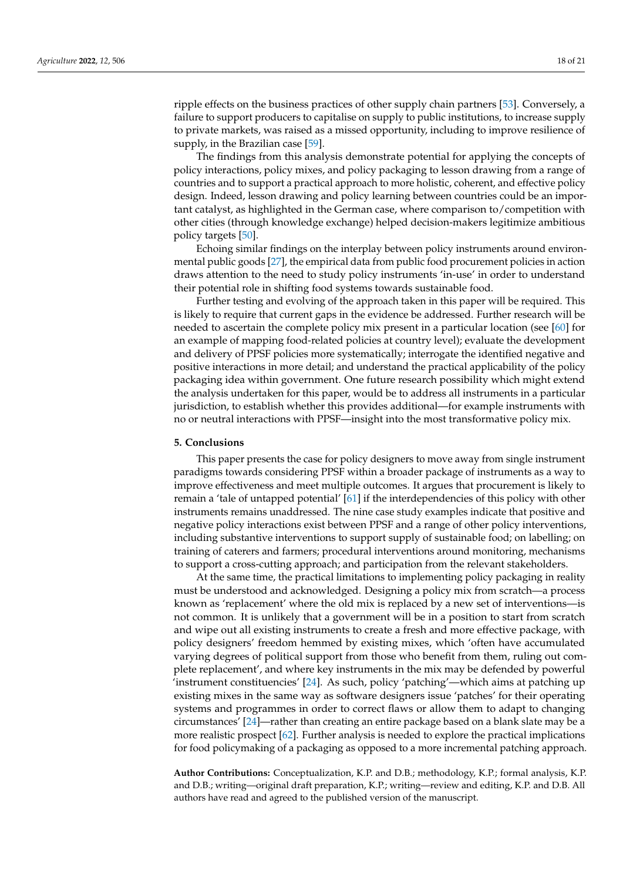ripple effects on the business practices of other supply chain partners [\[53\]](#page-20-9). Conversely, a failure to support producers to capitalise on supply to public institutions, to increase supply to private markets, was raised as a missed opportunity, including to improve resilience of supply, in the Brazilian case [\[59\]](#page-20-15).

The findings from this analysis demonstrate potential for applying the concepts of policy interactions, policy mixes, and policy packaging to lesson drawing from a range of countries and to support a practical approach to more holistic, coherent, and effective policy design. Indeed, lesson drawing and policy learning between countries could be an important catalyst, as highlighted in the German case, where comparison to/competition with other cities (through knowledge exchange) helped decision-makers legitimize ambitious policy targets [\[50\]](#page-20-7).

Echoing similar findings on the interplay between policy instruments around environmental public goods [\[27\]](#page-19-4), the empirical data from public food procurement policies in action draws attention to the need to study policy instruments 'in-use' in order to understand their potential role in shifting food systems towards sustainable food.

Further testing and evolving of the approach taken in this paper will be required. This is likely to require that current gaps in the evidence be addressed. Further research will be needed to ascertain the complete policy mix present in a particular location (see [\[60\]](#page-20-16) for an example of mapping food-related policies at country level); evaluate the development and delivery of PPSF policies more systematically; interrogate the identified negative and positive interactions in more detail; and understand the practical applicability of the policy packaging idea within government. One future research possibility which might extend the analysis undertaken for this paper, would be to address all instruments in a particular jurisdiction, to establish whether this provides additional—for example instruments with no or neutral interactions with PPSF—insight into the most transformative policy mix.

#### **5. Conclusions**

This paper presents the case for policy designers to move away from single instrument paradigms towards considering PPSF within a broader package of instruments as a way to improve effectiveness and meet multiple outcomes. It argues that procurement is likely to remain a 'tale of untapped potential' [\[61\]](#page-20-17) if the interdependencies of this policy with other instruments remains unaddressed. The nine case study examples indicate that positive and negative policy interactions exist between PPSF and a range of other policy interventions, including substantive interventions to support supply of sustainable food; on labelling; on training of caterers and farmers; procedural interventions around monitoring, mechanisms to support a cross-cutting approach; and participation from the relevant stakeholders.

At the same time, the practical limitations to implementing policy packaging in reality must be understood and acknowledged. Designing a policy mix from scratch—a process known as 'replacement' where the old mix is replaced by a new set of interventions—is not common. It is unlikely that a government will be in a position to start from scratch and wipe out all existing instruments to create a fresh and more effective package, with policy designers' freedom hemmed by existing mixes, which 'often have accumulated varying degrees of political support from those who benefit from them, ruling out complete replacement', and where key instruments in the mix may be defended by powerful 'instrument constituencies' [\[24\]](#page-19-1). As such, policy 'patching'—which aims at patching up existing mixes in the same way as software designers issue 'patches' for their operating systems and programmes in order to correct flaws or allow them to adapt to changing circumstances' [\[24\]](#page-19-1)—rather than creating an entire package based on a blank slate may be a more realistic prospect [\[62\]](#page-20-18). Further analysis is needed to explore the practical implications for food policymaking of a packaging as opposed to a more incremental patching approach.

**Author Contributions:** Conceptualization, K.P. and D.B.; methodology, K.P.; formal analysis, K.P. and D.B.; writing—original draft preparation, K.P.; writing—review and editing, K.P. and D.B. All authors have read and agreed to the published version of the manuscript.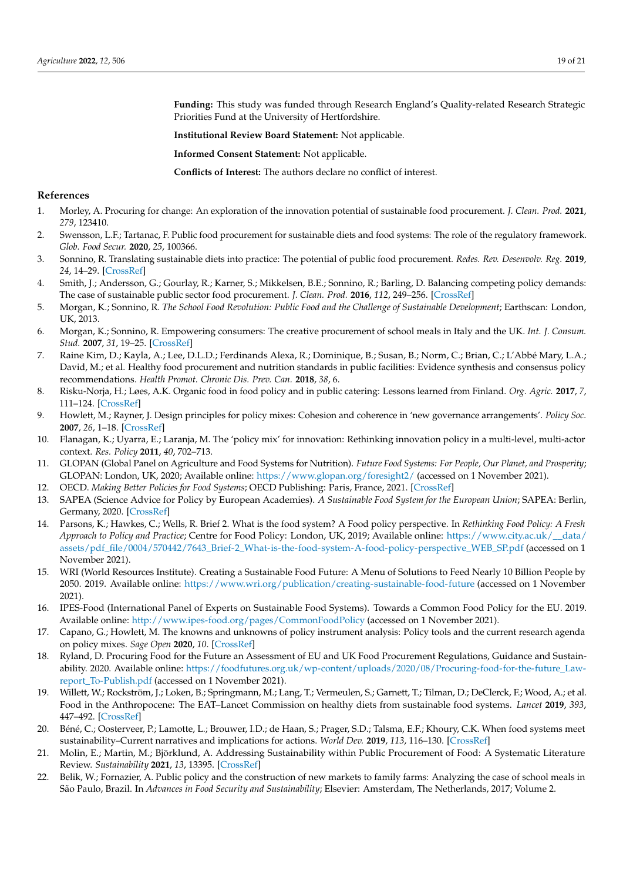<span id="page-18-19"></span>**Funding:** This study was funded through Research England's Quality-related Research Strategic Priorities Fund at the University of Hertfordshire.

**Institutional Review Board Statement:** Not applicable.

**Informed Consent Statement:** Not applicable.

**Conflicts of Interest:** The authors declare no conflict of interest.

## <span id="page-18-20"></span><span id="page-18-18"></span>**References**

- <span id="page-18-0"></span>1. Morley, A. Procuring for change: An exploration of the innovation potential of sustainable food procurement. *J. Clean. Prod.* **2021**, *279*, 123410.
- <span id="page-18-2"></span>2. Swensson, L.F.; Tartanac, F. Public food procurement for sustainable diets and food systems: The role of the regulatory framework. *Glob. Food Secur.* **2020**, *25*, 100366.
- 3. Sonnino, R. Translating sustainable diets into practice: The potential of public food procurement. *Redes. Rev. Desenvolv. Reg.* **2019**, *24*, 14–29. [\[CrossRef\]](http://doi.org/10.17058/redes.v24i1.13036)
- <span id="page-18-10"></span>4. Smith, J.; Andersson, G.; Gourlay, R.; Karner, S.; Mikkelsen, B.E.; Sonnino, R.; Barling, D. Balancing competing policy demands: The case of sustainable public sector food procurement. *J. Clean. Prod.* **2016**, *112*, 249–256. [\[CrossRef\]](http://doi.org/10.1016/j.jclepro.2015.07.065)
- 5. Morgan, K.; Sonnino, R. *The School Food Revolution: Public Food and the Challenge of Sustainable Development*; Earthscan: London, UK, 2013.
- <span id="page-18-1"></span>6. Morgan, K.; Sonnino, R. Empowering consumers: The creative procurement of school meals in Italy and the UK. *Int. J. Consum. Stud.* **2007**, *31*, 19–25. [\[CrossRef\]](http://doi.org/10.1111/j.1470-6431.2006.00552.x)
- <span id="page-18-3"></span>7. Raine Kim, D.; Kayla, A.; Lee, D.L.D.; Ferdinands Alexa, R.; Dominique, B.; Susan, B.; Norm, C.; Brian, C.; L'Abbé Mary, L.A.; David, M.; et al. Healthy food procurement and nutrition standards in public facilities: Evidence synthesis and consensus policy recommendations. *Health Promot. Chronic Dis. Prev. Can.* **2018**, *38*, 6.
- <span id="page-18-16"></span><span id="page-18-4"></span>8. Risku-Norja, H.; Løes, A.K. Organic food in food policy and in public catering: Lessons learned from Finland. *Org. Agric.* **2017**, *7*, 111–124. [\[CrossRef\]](http://doi.org/10.1007/s13165-016-0148-4)
- <span id="page-18-5"></span>9. Howlett, M.; Rayner, J. Design principles for policy mixes: Cohesion and coherence in 'new governance arrangements'. *Policy Soc.* **2007**, *26*, 1–18. [\[CrossRef\]](http://doi.org/10.1016/S1449-4035(07)70118-2)
- <span id="page-18-6"></span>10. Flanagan, K.; Uyarra, E.; Laranja, M. The 'policy mix' for innovation: Rethinking innovation policy in a multi-level, multi-actor context. *Res. Policy* **2011**, *40*, 702–713.
- <span id="page-18-7"></span>11. GLOPAN (Global Panel on Agriculture and Food Systems for Nutrition). *Future Food Systems: For People, Our Planet, and Prosperity*; GLOPAN: London, UK, 2020; Available online: <https://www.glopan.org/foresight2/> (accessed on 1 November 2021).
- 12. OECD. *Making Better Policies for Food Systems*; OECD Publishing: Paris, France, 2021. [\[CrossRef\]](http://doi.org/10.1787/ddfba4de-en)
- 13. SAPEA (Science Advice for Policy by European Academies). *A Sustainable Food System for the European Union*; SAPEA: Berlin, Germany, 2020. [\[CrossRef\]](http://doi.org/10.26356/sustainablefood)
- <span id="page-18-17"></span>14. Parsons, K.; Hawkes, C.; Wells, R. Brief 2. What is the food system? A Food policy perspective. In *Rethinking Food Policy: A Fresh Approach to Policy and Practice*; Centre for Food Policy: London, UK, 2019; Available online: [https://www.city.ac.uk/\\_\\_data/](https://www.city.ac.uk/__data/assets/pdf_file/0004/570442/7643_Brief-2_What-is-the-food-system-A-food-policy-perspective_WEB_SP.pdf) [assets/pdf\\_file/0004/570442/7643\\_Brief-2\\_What-is-the-food-system-A-food-policy-perspective\\_WEB\\_SP.pdf](https://www.city.ac.uk/__data/assets/pdf_file/0004/570442/7643_Brief-2_What-is-the-food-system-A-food-policy-perspective_WEB_SP.pdf) (accessed on 1 November 2021).
- 15. WRI (World Resources Institute). Creating a Sustainable Food Future: A Menu of Solutions to Feed Nearly 10 Billion People by 2050. 2019. Available online: <https://www.wri.org/publication/creating-sustainable-food-future> (accessed on 1 November 2021).
- <span id="page-18-8"></span>16. IPES-Food (International Panel of Experts on Sustainable Food Systems). Towards a Common Food Policy for the EU. 2019. Available online: <http://www.ipes-food.org/pages/CommonFoodPolicy> (accessed on 1 November 2021).
- <span id="page-18-9"></span>17. Capano, G.; Howlett, M. The knowns and unknowns of policy instrument analysis: Policy tools and the current research agenda on policy mixes. *Sage Open* **2020**, *10*. [\[CrossRef\]](http://doi.org/10.1177/2158244019900568)
- <span id="page-18-11"></span>18. Ryland, D. Procuring Food for the Future an Assessment of EU and UK Food Procurement Regulations, Guidance and Sustainability. 2020. Available online: [https://foodfutures.org.uk/wp-content/uploads/2020/08/Procuring-food-for-the-future\\_Law](https://foodfutures.org.uk/wp-content/uploads/2020/08/Procuring-food-for-the-future_Law-report_To-Publish.pdf)[report\\_To-Publish.pdf](https://foodfutures.org.uk/wp-content/uploads/2020/08/Procuring-food-for-the-future_Law-report_To-Publish.pdf) (accessed on 1 November 2021).
- <span id="page-18-12"></span>19. Willett, W.; Rockström, J.; Loken, B.; Springmann, M.; Lang, T.; Vermeulen, S.; Garnett, T.; Tilman, D.; DeClerck, F.; Wood, A.; et al. Food in the Anthropocene: The EAT–Lancet Commission on healthy diets from sustainable food systems. *Lancet* **2019**, *393*, 447–492. [\[CrossRef\]](http://doi.org/10.1016/S0140-6736(18)31788-4)
- <span id="page-18-13"></span>20. Béné, C.; Oosterveer, P.; Lamotte, L.; Brouwer, I.D.; de Haan, S.; Prager, S.D.; Talsma, E.F.; Khoury, C.K. When food systems meet sustainability–Current narratives and implications for actions. *World Dev.* **2019**, *113*, 116–130. [\[CrossRef\]](http://doi.org/10.1016/j.worlddev.2018.08.011)
- <span id="page-18-14"></span>21. Molin, E.; Martin, M.; Björklund, A. Addressing Sustainability within Public Procurement of Food: A Systematic Literature Review. *Sustainability* **2021**, *13*, 13395. [\[CrossRef\]](http://doi.org/10.3390/su132313395)
- <span id="page-18-15"></span>22. Belik, W.; Fornazier, A. Public policy and the construction of new markets to family farms: Analyzing the case of school meals in São Paulo, Brazil. In *Advances in Food Security and Sustainability*; Elsevier: Amsterdam, The Netherlands, 2017; Volume 2.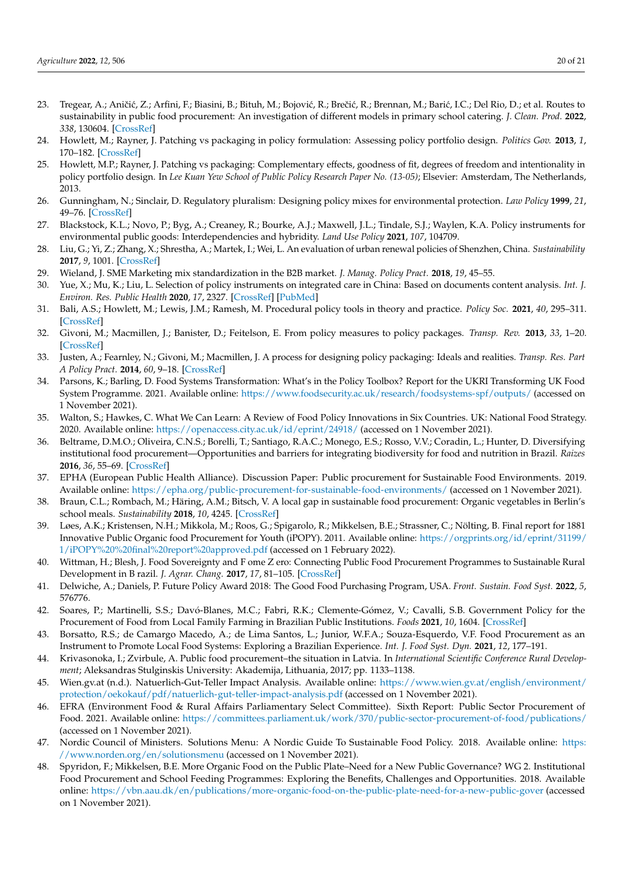- <span id="page-19-0"></span>23. Tregear, A.; Aničić, Z.; Arfini, F.; Biasini, B.; Bituh, M.; Bojović, R.; Brečić, R.; Brennan, M.; Barić, I.C.; Del Rio, D.; et al. Routes to sustainability in public food procurement: An investigation of different models in primary school catering. *J. Clean. Prod.* **2022**, *338*, 130604. [\[CrossRef\]](http://doi.org/10.1016/j.jclepro.2022.130604)
- <span id="page-19-1"></span>24. Howlett, M.; Rayner, J. Patching vs packaging in policy formulation: Assessing policy portfolio design. *Politics Gov.* **2013**, *1*, 170–182. [\[CrossRef\]](http://doi.org/10.17645/pag.v1i2.95)
- <span id="page-19-14"></span><span id="page-19-13"></span><span id="page-19-2"></span>25. Howlett, M.P.; Rayner, J. Patching vs packaging: Complementary effects, goodness of fit, degrees of freedom and intentionality in policy portfolio design. In *Lee Kuan Yew School of Public Policy Research Paper No. (13-05)*; Elsevier: Amsterdam, The Netherlands, 2013.
- <span id="page-19-3"></span>26. Gunningham, N.; Sinclair, D. Regulatory pluralism: Designing policy mixes for environmental protection. *Law Policy* **1999**, *21*, 49–76. [\[CrossRef\]](http://doi.org/10.1111/1467-9930.00065)
- <span id="page-19-15"></span><span id="page-19-4"></span>27. Blackstock, K.L.; Novo, P.; Byg, A.; Creaney, R.; Bourke, A.J.; Maxwell, J.L.; Tindale, S.J.; Waylen, K.A. Policy instruments for environmental public goods: Interdependencies and hybridity. *Land Use Policy* **2021**, *107*, 104709.
- <span id="page-19-16"></span>28. Liu, G.; Yi, Z.; Zhang, X.; Shrestha, A.; Martek, I.; Wei, L. An evaluation of urban renewal policies of Shenzhen, China. *Sustainability* **2017**, *9*, 1001. [\[CrossRef\]](http://doi.org/10.3390/su9061001)
- <span id="page-19-17"></span>29. Wieland, J. SME Marketing mix standardization in the B2B market. *J. Manag. Policy Pract.* **2018**, *19*, 45–55.
- <span id="page-19-5"></span>30. Yue, X.; Mu, K.; Liu, L. Selection of policy instruments on integrated care in China: Based on documents content analysis. *Int. J. Environ. Res. Public Health* **2020**, *17*, 2327. [\[CrossRef\]](http://doi.org/10.3390/ijerph17072327) [\[PubMed\]](http://www.ncbi.nlm.nih.gov/pubmed/32235602)
- <span id="page-19-18"></span><span id="page-19-6"></span>31. Bali, A.S.; Howlett, M.; Lewis, J.M.; Ramesh, M. Procedural policy tools in theory and practice. *Policy Soc.* **2021**, *40*, 295–311. [\[CrossRef\]](http://doi.org/10.1080/14494035.2021.1965379)
- <span id="page-19-19"></span><span id="page-19-7"></span>32. Givoni, M.; Macmillen, J.; Banister, D.; Feitelson, E. From policy measures to policy packages. *Transp. Rev.* **2013**, *33*, 1–20. [\[CrossRef\]](http://doi.org/10.1080/01441647.2012.744779)
- <span id="page-19-20"></span><span id="page-19-8"></span>33. Justen, A.; Fearnley, N.; Givoni, M.; Macmillen, J. A process for designing policy packaging: Ideals and realities. *Transp. Res. Part A Policy Pract.* **2014**, *60*, 9–18. [\[CrossRef\]](http://doi.org/10.1016/j.tra.2013.10.016)
- <span id="page-19-22"></span><span id="page-19-21"></span><span id="page-19-9"></span>34. Parsons, K.; Barling, D. Food Systems Transformation: What's in the Policy Toolbox? Report for the UKRI Transforming UK Food System Programme. 2021. Available online: <https://www.foodsecurity.ac.uk/research/foodsystems-spf/outputs/> (accessed on 1 November 2021).
- <span id="page-19-23"></span><span id="page-19-10"></span>35. Walton, S.; Hawkes, C. What We Can Learn: A Review of Food Policy Innovations in Six Countries. UK: National Food Strategy. 2020. Available online: <https://openaccess.city.ac.uk/id/eprint/24918/> (accessed on 1 November 2021).
- <span id="page-19-30"></span><span id="page-19-24"></span>36. Beltrame, D.M.O.; Oliveira, C.N.S.; Borelli, T.; Santiago, R.A.C.; Monego, E.S.; Rosso, V.V.; Coradin, L.; Hunter, D. Diversifying institutional food procurement—Opportunities and barriers for integrating biodiversity for food and nutrition in Brazil. *Raizes* **2016**, *36*, 55–69. [\[CrossRef\]](http://doi.org/10.37370/raizes.2016.v36.459)
- <span id="page-19-31"></span><span id="page-19-25"></span>37. EPHA (European Public Health Alliance). Discussion Paper: Public procurement for Sustainable Food Environments. 2019. Available online: <https://epha.org/public-procurement-for-sustainable-food-environments/> (accessed on 1 November 2021).
- <span id="page-19-26"></span><span id="page-19-12"></span>38. Braun, C.L.; Rombach, M.; Häring, A.M.; Bitsch, V. A local gap in sustainable food procurement: Organic vegetables in Berlin's school meals. *Sustainability* **2018**, *10*, 4245. [\[CrossRef\]](http://doi.org/10.3390/su10114245)
- 39. Løes, A.K.; Kristensen, N.H.; Mikkola, M.; Roos, G.; Spigarolo, R.; Mikkelsen, B.E.; Strassner, C.; Nölting, B. Final report for 1881 Innovative Public Organic food Procurement for Youth (iPOPY). 2011. Available online: [https://orgprints.org/id/eprint/31199/](https://orgprints.org/id/eprint/31199/1/iPOPY%20%20final%20report%20approved.pdf) [1/iPOPY%20%20final%20report%20approved.pdf](https://orgprints.org/id/eprint/31199/1/iPOPY%20%20final%20report%20approved.pdf) (accessed on 1 February 2022).
- <span id="page-19-28"></span>40. Wittman, H.; Blesh, J. Food Sovereignty and F ome Z ero: Connecting Public Food Procurement Programmes to Sustainable Rural Development in B razil. *J. Agrar. Chang.* **2017**, *17*, 81–105. [\[CrossRef\]](http://doi.org/10.1111/joac.12131)
- <span id="page-19-11"></span>41. Delwiche, A.; Daniels, P. Future Policy Award 2018: The Good Food Purchasing Program, USA. *Front. Sustain. Food Syst.* **2022**, *5*, 576776.
- <span id="page-19-27"></span>42. Soares, P.; Martinelli, S.S.; Davó-Blanes, M.C.; Fabri, R.K.; Clemente-Gómez, V.; Cavalli, S.B. Government Policy for the Procurement of Food from Local Family Farming in Brazilian Public Institutions. *Foods* **2021**, *10*, 1604. [\[CrossRef\]](http://doi.org/10.3390/foods10071604)
- 43. Borsatto, R.S.; de Camargo Macedo, A.; de Lima Santos, L.; Junior, W.F.A.; Souza-Esquerdo, V.F. Food Procurement as an Instrument to Promote Local Food Systems: Exploring a Brazilian Experience. *Int. J. Food Syst. Dyn.* **2021**, *12*, 177–191.
- <span id="page-19-29"></span>44. Krivasonoka, I.; Zvirbule, A. Public food procurement–the situation in Latvia. In *International Scientific Conference Rural Development*; Aleksandras Stulginskis University: Akademija, Lithuania, 2017; pp. 1133–1138.
- <span id="page-19-32"></span>45. Wien.gv.at (n.d.). Natuerlich-Gut-Teller Impact Analysis. Available online: [https://www.wien.gv.at/english/environment/](https://www.wien.gv.at/english/environment/protection/oekokauf/pdf/natuerlich-gut-teller-impact-analysis.pdf) [protection/oekokauf/pdf/natuerlich-gut-teller-impact-analysis.pdf](https://www.wien.gv.at/english/environment/protection/oekokauf/pdf/natuerlich-gut-teller-impact-analysis.pdf) (accessed on 1 November 2021).
- <span id="page-19-34"></span>46. EFRA (Environment Food & Rural Affairs Parliamentary Select Committee). Sixth Report: Public Sector Procurement of Food. 2021. Available online: <https://committees.parliament.uk/work/370/public-sector-procurement-of-food/publications/> (accessed on 1 November 2021).
- <span id="page-19-33"></span>47. Nordic Council of Ministers. Solutions Menu: A Nordic Guide To Sustainable Food Policy. 2018. Available online: [https:](https://www.norden.org/en/solutionsmenu) [//www.norden.org/en/solutionsmenu](https://www.norden.org/en/solutionsmenu) (accessed on 1 November 2021).
- <span id="page-19-35"></span>48. Spyridon, F.; Mikkelsen, B.E. More Organic Food on the Public Plate–Need for a New Public Governance? WG 2. Institutional Food Procurement and School Feeding Programmes: Exploring the Benefits, Challenges and Opportunities. 2018. Available online: <https://vbn.aau.dk/en/publications/more-organic-food-on-the-public-plate-need-for-a-new-public-gover> (accessed on 1 November 2021).